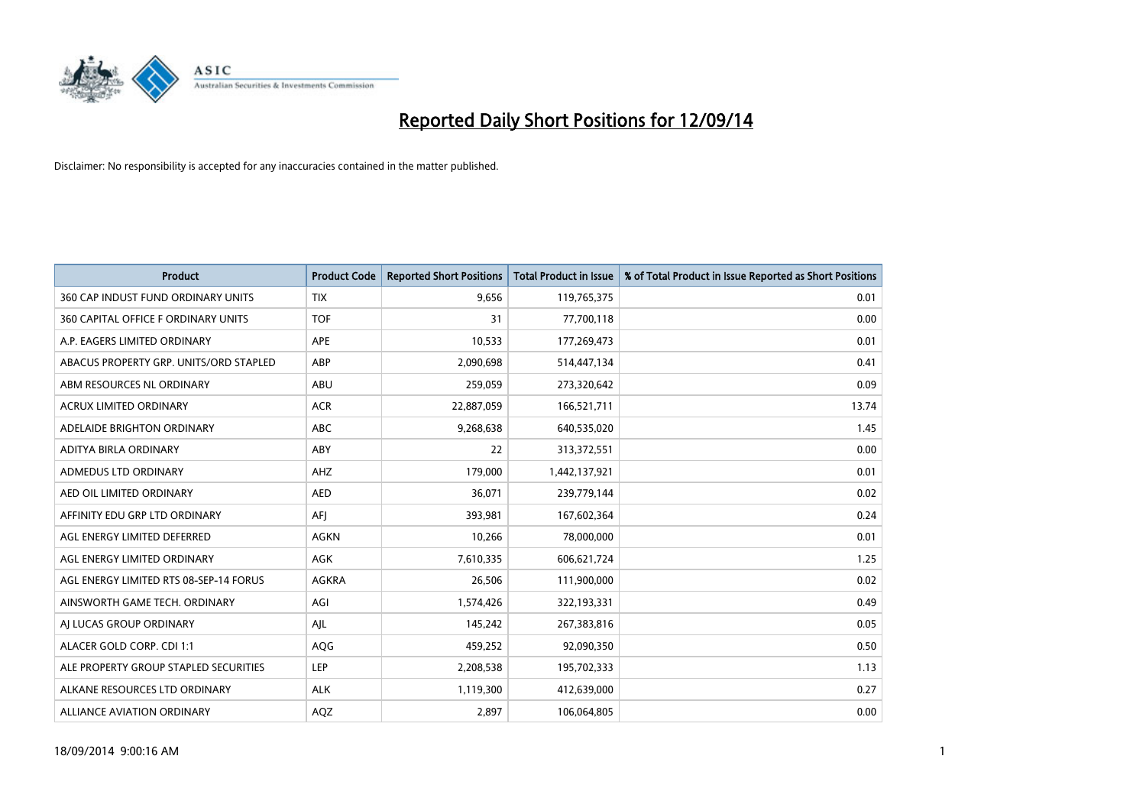

| <b>Product</b>                         | <b>Product Code</b> | <b>Reported Short Positions</b> | <b>Total Product in Issue</b> | % of Total Product in Issue Reported as Short Positions |
|----------------------------------------|---------------------|---------------------------------|-------------------------------|---------------------------------------------------------|
| 360 CAP INDUST FUND ORDINARY UNITS     | <b>TIX</b>          | 9,656                           | 119,765,375                   | 0.01                                                    |
| 360 CAPITAL OFFICE F ORDINARY UNITS    | <b>TOF</b>          | 31                              | 77,700,118                    | 0.00                                                    |
| A.P. EAGERS LIMITED ORDINARY           | APE                 | 10,533                          | 177,269,473                   | 0.01                                                    |
| ABACUS PROPERTY GRP. UNITS/ORD STAPLED | ABP                 | 2,090,698                       | 514,447,134                   | 0.41                                                    |
| ABM RESOURCES NL ORDINARY              | ABU                 | 259,059                         | 273,320,642                   | 0.09                                                    |
| <b>ACRUX LIMITED ORDINARY</b>          | <b>ACR</b>          | 22,887,059                      | 166,521,711                   | 13.74                                                   |
| ADELAIDE BRIGHTON ORDINARY             | <b>ABC</b>          | 9,268,638                       | 640,535,020                   | 1.45                                                    |
| ADITYA BIRLA ORDINARY                  | ABY                 | 22                              | 313,372,551                   | 0.00                                                    |
| ADMEDUS LTD ORDINARY                   | AHZ                 | 179,000                         | 1,442,137,921                 | 0.01                                                    |
| AED OIL LIMITED ORDINARY               | <b>AED</b>          | 36,071                          | 239,779,144                   | 0.02                                                    |
| AFFINITY EDU GRP LTD ORDINARY          | AFJ                 | 393,981                         | 167,602,364                   | 0.24                                                    |
| AGL ENERGY LIMITED DEFERRED            | <b>AGKN</b>         | 10,266                          | 78,000,000                    | 0.01                                                    |
| AGL ENERGY LIMITED ORDINARY            | AGK                 | 7,610,335                       | 606,621,724                   | 1.25                                                    |
| AGL ENERGY LIMITED RTS 08-SEP-14 FORUS | AGKRA               | 26,506                          | 111,900,000                   | 0.02                                                    |
| AINSWORTH GAME TECH. ORDINARY          | AGI                 | 1,574,426                       | 322,193,331                   | 0.49                                                    |
| AJ LUCAS GROUP ORDINARY                | AJL                 | 145,242                         | 267,383,816                   | 0.05                                                    |
| ALACER GOLD CORP. CDI 1:1              | AQG                 | 459,252                         | 92,090,350                    | 0.50                                                    |
| ALE PROPERTY GROUP STAPLED SECURITIES  | LEP                 | 2,208,538                       | 195,702,333                   | 1.13                                                    |
| ALKANE RESOURCES LTD ORDINARY          | <b>ALK</b>          | 1,119,300                       | 412,639,000                   | 0.27                                                    |
| ALLIANCE AVIATION ORDINARY             | AQZ                 | 2,897                           | 106,064,805                   | 0.00                                                    |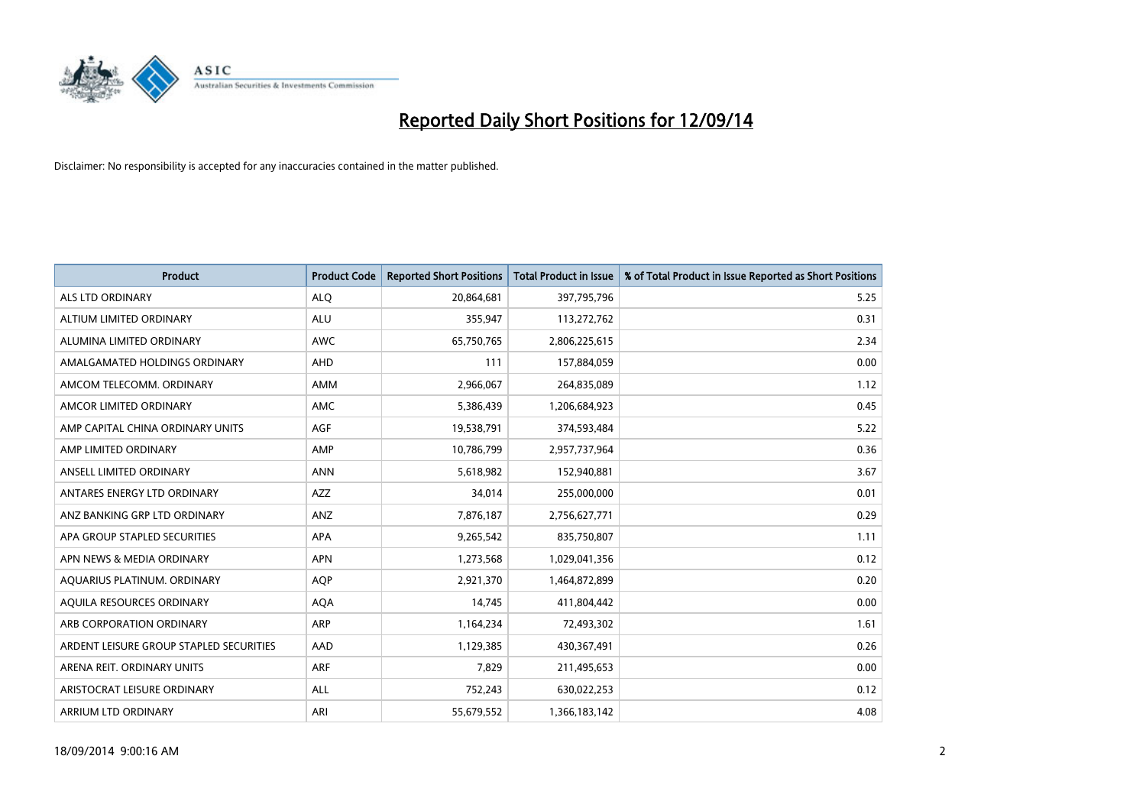

| <b>Product</b>                          | <b>Product Code</b> | <b>Reported Short Positions</b> | <b>Total Product in Issue</b> | % of Total Product in Issue Reported as Short Positions |
|-----------------------------------------|---------------------|---------------------------------|-------------------------------|---------------------------------------------------------|
| ALS LTD ORDINARY                        | <b>ALQ</b>          | 20,864,681                      | 397,795,796                   | 5.25                                                    |
| ALTIUM LIMITED ORDINARY                 | <b>ALU</b>          | 355,947                         | 113,272,762                   | 0.31                                                    |
| ALUMINA LIMITED ORDINARY                | <b>AWC</b>          | 65,750,765                      | 2,806,225,615                 | 2.34                                                    |
| AMALGAMATED HOLDINGS ORDINARY           | <b>AHD</b>          | 111                             | 157,884,059                   | 0.00                                                    |
| AMCOM TELECOMM, ORDINARY                | <b>AMM</b>          | 2,966,067                       | 264,835,089                   | 1.12                                                    |
| AMCOR LIMITED ORDINARY                  | <b>AMC</b>          | 5,386,439                       | 1,206,684,923                 | 0.45                                                    |
| AMP CAPITAL CHINA ORDINARY UNITS        | AGF                 | 19,538,791                      | 374,593,484                   | 5.22                                                    |
| AMP LIMITED ORDINARY                    | AMP                 | 10,786,799                      | 2,957,737,964                 | 0.36                                                    |
| ANSELL LIMITED ORDINARY                 | <b>ANN</b>          | 5,618,982                       | 152,940,881                   | 3.67                                                    |
| ANTARES ENERGY LTD ORDINARY             | AZZ                 | 34,014                          | 255,000,000                   | 0.01                                                    |
| ANZ BANKING GRP LTD ORDINARY            | ANZ                 | 7,876,187                       | 2,756,627,771                 | 0.29                                                    |
| APA GROUP STAPLED SECURITIES            | APA                 | 9,265,542                       | 835,750,807                   | 1.11                                                    |
| APN NEWS & MEDIA ORDINARY               | <b>APN</b>          | 1,273,568                       | 1,029,041,356                 | 0.12                                                    |
| AQUARIUS PLATINUM. ORDINARY             | <b>AOP</b>          | 2,921,370                       | 1,464,872,899                 | 0.20                                                    |
| AQUILA RESOURCES ORDINARY               | <b>AQA</b>          | 14,745                          | 411,804,442                   | 0.00                                                    |
| ARB CORPORATION ORDINARY                | ARP                 | 1,164,234                       | 72,493,302                    | 1.61                                                    |
| ARDENT LEISURE GROUP STAPLED SECURITIES | AAD                 | 1,129,385                       | 430,367,491                   | 0.26                                                    |
| ARENA REIT. ORDINARY UNITS              | <b>ARF</b>          | 7,829                           | 211,495,653                   | 0.00                                                    |
| ARISTOCRAT LEISURE ORDINARY             | ALL                 | 752,243                         | 630,022,253                   | 0.12                                                    |
| ARRIUM LTD ORDINARY                     | ARI                 | 55,679,552                      | 1,366,183,142                 | 4.08                                                    |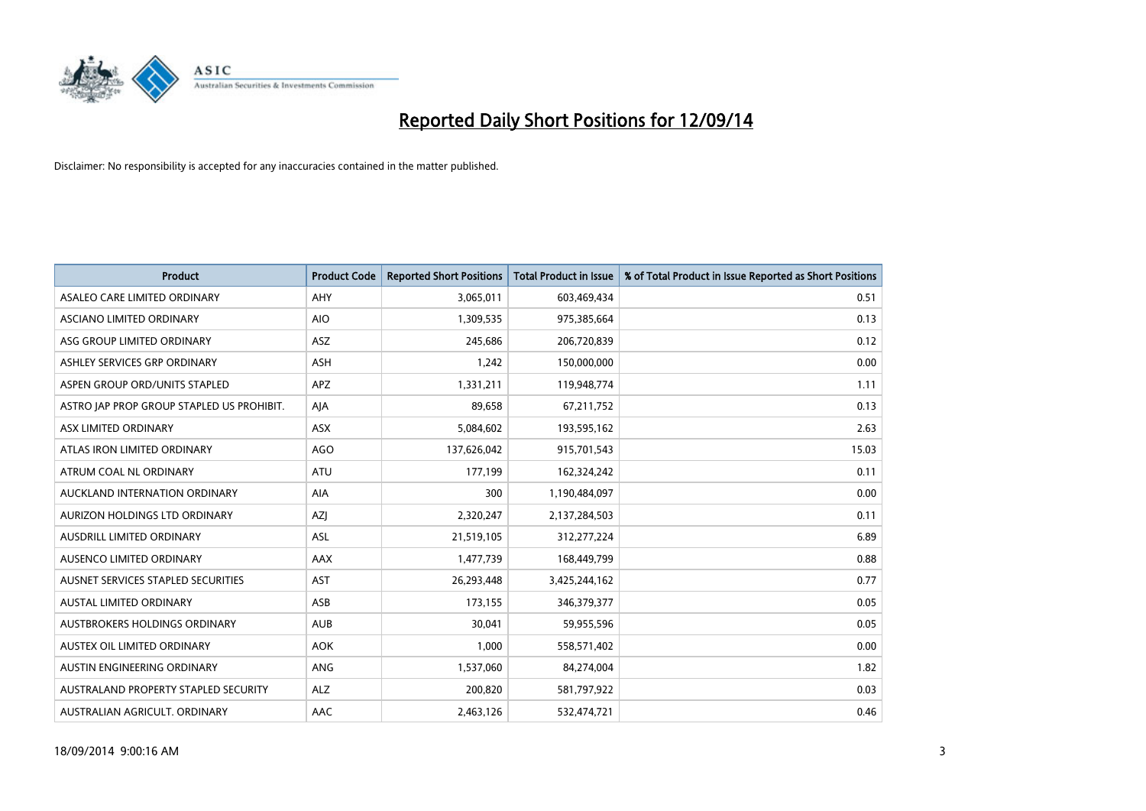

| <b>Product</b>                            | <b>Product Code</b> | <b>Reported Short Positions</b> | <b>Total Product in Issue</b> | % of Total Product in Issue Reported as Short Positions |
|-------------------------------------------|---------------------|---------------------------------|-------------------------------|---------------------------------------------------------|
| ASALEO CARE LIMITED ORDINARY              | AHY                 | 3,065,011                       | 603,469,434                   | 0.51                                                    |
| ASCIANO LIMITED ORDINARY                  | <b>AIO</b>          | 1,309,535                       | 975,385,664                   | 0.13                                                    |
| ASG GROUP LIMITED ORDINARY                | <b>ASZ</b>          | 245,686                         | 206,720,839                   | 0.12                                                    |
| ASHLEY SERVICES GRP ORDINARY              | <b>ASH</b>          | 1,242                           | 150,000,000                   | 0.00                                                    |
| ASPEN GROUP ORD/UNITS STAPLED             | APZ                 | 1,331,211                       | 119,948,774                   | 1.11                                                    |
| ASTRO JAP PROP GROUP STAPLED US PROHIBIT. | AJA                 | 89,658                          | 67,211,752                    | 0.13                                                    |
| ASX LIMITED ORDINARY                      | ASX                 | 5,084,602                       | 193,595,162                   | 2.63                                                    |
| ATLAS IRON LIMITED ORDINARY               | <b>AGO</b>          | 137,626,042                     | 915,701,543                   | 15.03                                                   |
| ATRUM COAL NL ORDINARY                    | <b>ATU</b>          | 177,199                         | 162,324,242                   | 0.11                                                    |
| AUCKLAND INTERNATION ORDINARY             | <b>AIA</b>          | 300                             | 1,190,484,097                 | 0.00                                                    |
| AURIZON HOLDINGS LTD ORDINARY             | AZJ                 | 2,320,247                       | 2,137,284,503                 | 0.11                                                    |
| AUSDRILL LIMITED ORDINARY                 | ASL                 | 21,519,105                      | 312,277,224                   | 6.89                                                    |
| AUSENCO LIMITED ORDINARY                  | AAX                 | 1,477,739                       | 168,449,799                   | 0.88                                                    |
| AUSNET SERVICES STAPLED SECURITIES        | AST                 | 26,293,448                      | 3,425,244,162                 | 0.77                                                    |
| <b>AUSTAL LIMITED ORDINARY</b>            | ASB                 | 173,155                         | 346,379,377                   | 0.05                                                    |
| AUSTBROKERS HOLDINGS ORDINARY             | <b>AUB</b>          | 30,041                          | 59,955,596                    | 0.05                                                    |
| AUSTEX OIL LIMITED ORDINARY               | <b>AOK</b>          | 1,000                           | 558,571,402                   | 0.00                                                    |
| AUSTIN ENGINEERING ORDINARY               | <b>ANG</b>          | 1,537,060                       | 84,274,004                    | 1.82                                                    |
| AUSTRALAND PROPERTY STAPLED SECURITY      | <b>ALZ</b>          | 200,820                         | 581,797,922                   | 0.03                                                    |
| AUSTRALIAN AGRICULT. ORDINARY             | AAC                 | 2,463,126                       | 532,474,721                   | 0.46                                                    |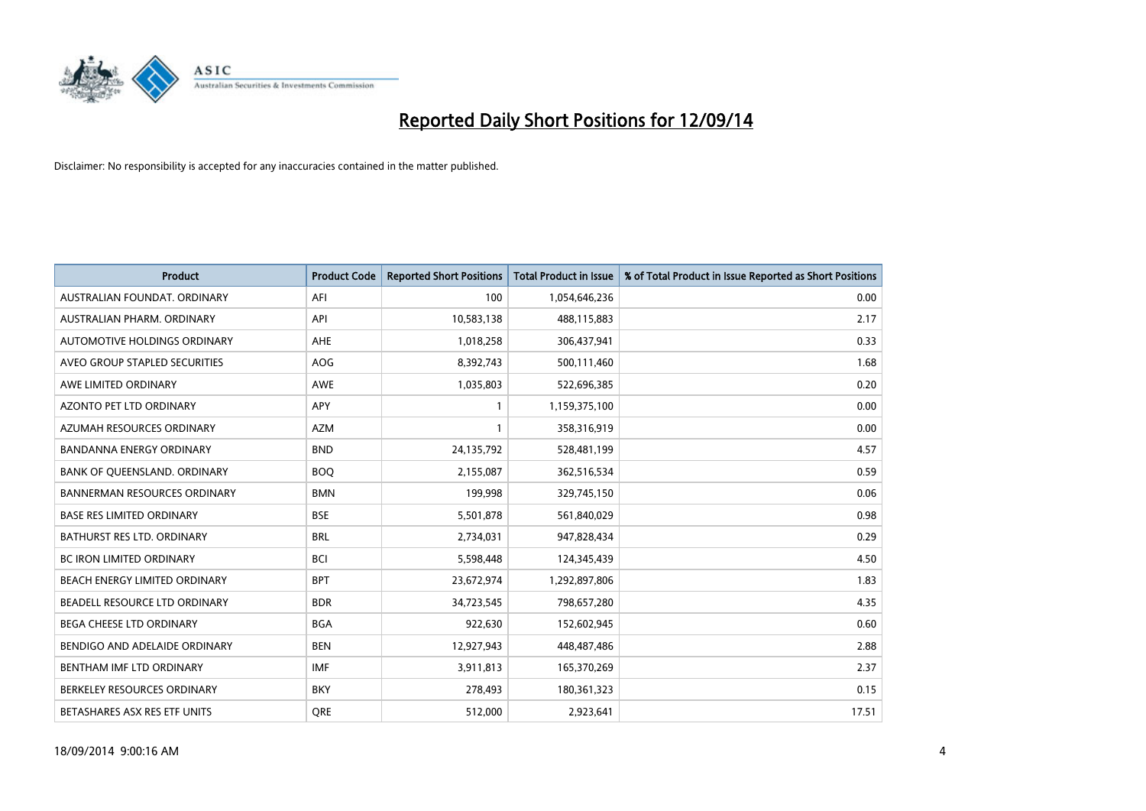

| <b>Product</b>                      | <b>Product Code</b> | <b>Reported Short Positions</b> | <b>Total Product in Issue</b> | % of Total Product in Issue Reported as Short Positions |
|-------------------------------------|---------------------|---------------------------------|-------------------------------|---------------------------------------------------------|
| AUSTRALIAN FOUNDAT, ORDINARY        | AFI                 | 100                             | 1,054,646,236                 | 0.00                                                    |
| AUSTRALIAN PHARM. ORDINARY          | API                 | 10,583,138                      | 488,115,883                   | 2.17                                                    |
| AUTOMOTIVE HOLDINGS ORDINARY        | AHE                 | 1,018,258                       | 306,437,941                   | 0.33                                                    |
| AVEO GROUP STAPLED SECURITIES       | AOG                 | 8,392,743                       | 500,111,460                   | 1.68                                                    |
| AWE LIMITED ORDINARY                | <b>AWE</b>          | 1,035,803                       | 522,696,385                   | 0.20                                                    |
| <b>AZONTO PET LTD ORDINARY</b>      | <b>APY</b>          | $\mathbf{1}$                    | 1,159,375,100                 | 0.00                                                    |
| AZUMAH RESOURCES ORDINARY           | <b>AZM</b>          | $\mathbf{1}$                    | 358,316,919                   | 0.00                                                    |
| BANDANNA ENERGY ORDINARY            | <b>BND</b>          | 24,135,792                      | 528,481,199                   | 4.57                                                    |
| BANK OF QUEENSLAND. ORDINARY        | <b>BOQ</b>          | 2,155,087                       | 362,516,534                   | 0.59                                                    |
| <b>BANNERMAN RESOURCES ORDINARY</b> | <b>BMN</b>          | 199,998                         | 329,745,150                   | 0.06                                                    |
| <b>BASE RES LIMITED ORDINARY</b>    | <b>BSE</b>          | 5,501,878                       | 561,840,029                   | 0.98                                                    |
| BATHURST RES LTD. ORDINARY          | <b>BRL</b>          | 2,734,031                       | 947,828,434                   | 0.29                                                    |
| <b>BC IRON LIMITED ORDINARY</b>     | <b>BCI</b>          | 5,598,448                       | 124,345,439                   | 4.50                                                    |
| BEACH ENERGY LIMITED ORDINARY       | <b>BPT</b>          | 23,672,974                      | 1,292,897,806                 | 1.83                                                    |
| BEADELL RESOURCE LTD ORDINARY       | <b>BDR</b>          | 34,723,545                      | 798,657,280                   | 4.35                                                    |
| BEGA CHEESE LTD ORDINARY            | <b>BGA</b>          | 922,630                         | 152,602,945                   | 0.60                                                    |
| BENDIGO AND ADELAIDE ORDINARY       | <b>BEN</b>          | 12,927,943                      | 448,487,486                   | 2.88                                                    |
| BENTHAM IMF LTD ORDINARY            | <b>IMF</b>          | 3,911,813                       | 165,370,269                   | 2.37                                                    |
| BERKELEY RESOURCES ORDINARY         | <b>BKY</b>          | 278,493                         | 180,361,323                   | 0.15                                                    |
| BETASHARES ASX RES ETF UNITS        | <b>ORE</b>          | 512,000                         | 2,923,641                     | 17.51                                                   |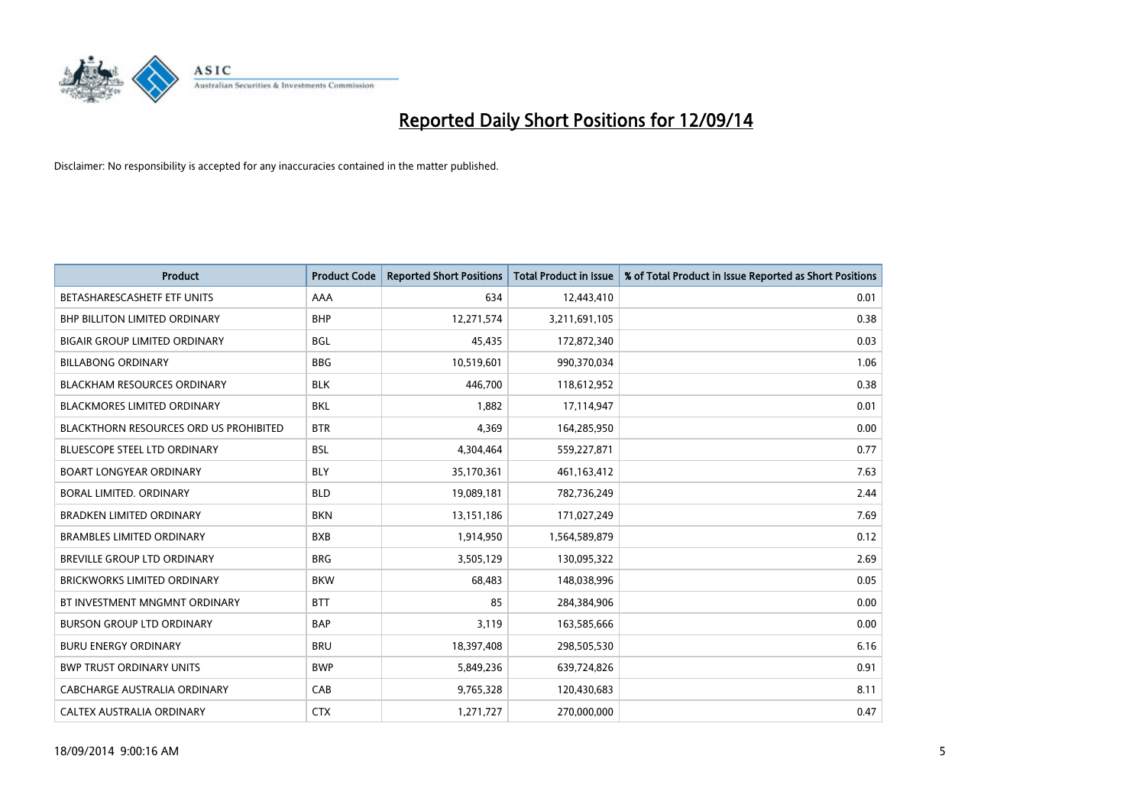

| <b>Product</b>                                | <b>Product Code</b> | <b>Reported Short Positions</b> | <b>Total Product in Issue</b> | % of Total Product in Issue Reported as Short Positions |
|-----------------------------------------------|---------------------|---------------------------------|-------------------------------|---------------------------------------------------------|
| BETASHARESCASHETF ETF UNITS                   | AAA                 | 634                             | 12,443,410                    | 0.01                                                    |
| BHP BILLITON LIMITED ORDINARY                 | <b>BHP</b>          | 12,271,574                      | 3,211,691,105                 | 0.38                                                    |
| <b>BIGAIR GROUP LIMITED ORDINARY</b>          | <b>BGL</b>          | 45,435                          | 172,872,340                   | 0.03                                                    |
| <b>BILLABONG ORDINARY</b>                     | <b>BBG</b>          | 10,519,601                      | 990,370,034                   | 1.06                                                    |
| <b>BLACKHAM RESOURCES ORDINARY</b>            | <b>BLK</b>          | 446,700                         | 118,612,952                   | 0.38                                                    |
| <b>BLACKMORES LIMITED ORDINARY</b>            | <b>BKL</b>          | 1,882                           | 17,114,947                    | 0.01                                                    |
| <b>BLACKTHORN RESOURCES ORD US PROHIBITED</b> | <b>BTR</b>          | 4,369                           | 164,285,950                   | 0.00                                                    |
| <b>BLUESCOPE STEEL LTD ORDINARY</b>           | <b>BSL</b>          | 4,304,464                       | 559,227,871                   | 0.77                                                    |
| <b>BOART LONGYEAR ORDINARY</b>                | <b>BLY</b>          | 35,170,361                      | 461,163,412                   | 7.63                                                    |
| <b>BORAL LIMITED, ORDINARY</b>                | <b>BLD</b>          | 19,089,181                      | 782,736,249                   | 2.44                                                    |
| BRADKEN LIMITED ORDINARY                      | <b>BKN</b>          | 13,151,186                      | 171,027,249                   | 7.69                                                    |
| <b>BRAMBLES LIMITED ORDINARY</b>              | <b>BXB</b>          | 1,914,950                       | 1,564,589,879                 | 0.12                                                    |
| BREVILLE GROUP LTD ORDINARY                   | <b>BRG</b>          | 3,505,129                       | 130,095,322                   | 2.69                                                    |
| <b>BRICKWORKS LIMITED ORDINARY</b>            | <b>BKW</b>          | 68,483                          | 148,038,996                   | 0.05                                                    |
| BT INVESTMENT MNGMNT ORDINARY                 | <b>BTT</b>          | 85                              | 284,384,906                   | 0.00                                                    |
| <b>BURSON GROUP LTD ORDINARY</b>              | <b>BAP</b>          | 3,119                           | 163,585,666                   | 0.00                                                    |
| <b>BURU ENERGY ORDINARY</b>                   | <b>BRU</b>          | 18,397,408                      | 298,505,530                   | 6.16                                                    |
| <b>BWP TRUST ORDINARY UNITS</b>               | <b>BWP</b>          | 5,849,236                       | 639,724,826                   | 0.91                                                    |
| CABCHARGE AUSTRALIA ORDINARY                  | CAB                 | 9,765,328                       | 120,430,683                   | 8.11                                                    |
| CALTEX AUSTRALIA ORDINARY                     | <b>CTX</b>          | 1,271,727                       | 270,000,000                   | 0.47                                                    |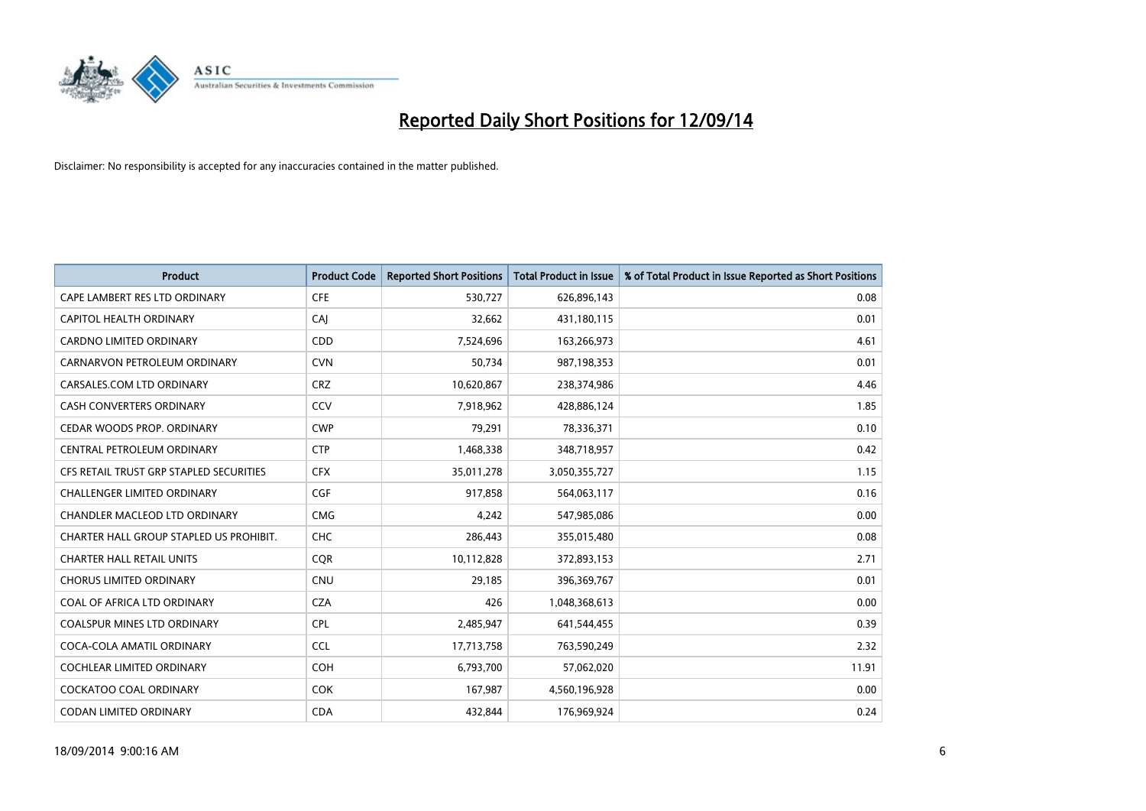

| <b>Product</b>                          | <b>Product Code</b> | <b>Reported Short Positions</b> | <b>Total Product in Issue</b> | % of Total Product in Issue Reported as Short Positions |
|-----------------------------------------|---------------------|---------------------------------|-------------------------------|---------------------------------------------------------|
| CAPE LAMBERT RES LTD ORDINARY           | <b>CFE</b>          | 530,727                         | 626,896,143                   | 0.08                                                    |
| <b>CAPITOL HEALTH ORDINARY</b>          | CAJ                 | 32,662                          | 431,180,115                   | 0.01                                                    |
| <b>CARDNO LIMITED ORDINARY</b>          | CDD                 | 7,524,696                       | 163,266,973                   | 4.61                                                    |
| CARNARVON PETROLEUM ORDINARY            | <b>CVN</b>          | 50,734                          | 987,198,353                   | 0.01                                                    |
| CARSALES.COM LTD ORDINARY               | <b>CRZ</b>          | 10,620,867                      | 238,374,986                   | 4.46                                                    |
| <b>CASH CONVERTERS ORDINARY</b>         | CCV                 | 7,918,962                       | 428,886,124                   | 1.85                                                    |
| CEDAR WOODS PROP. ORDINARY              | <b>CWP</b>          | 79,291                          | 78,336,371                    | 0.10                                                    |
| CENTRAL PETROLEUM ORDINARY              | <b>CTP</b>          | 1,468,338                       | 348,718,957                   | 0.42                                                    |
| CFS RETAIL TRUST GRP STAPLED SECURITIES | <b>CFX</b>          | 35,011,278                      | 3,050,355,727                 | 1.15                                                    |
| <b>CHALLENGER LIMITED ORDINARY</b>      | <b>CGF</b>          | 917,858                         | 564,063,117                   | 0.16                                                    |
| CHANDLER MACLEOD LTD ORDINARY           | <b>CMG</b>          | 4,242                           | 547,985,086                   | 0.00                                                    |
| CHARTER HALL GROUP STAPLED US PROHIBIT. | <b>CHC</b>          | 286,443                         | 355,015,480                   | 0.08                                                    |
| <b>CHARTER HALL RETAIL UNITS</b>        | <b>COR</b>          | 10,112,828                      | 372,893,153                   | 2.71                                                    |
| <b>CHORUS LIMITED ORDINARY</b>          | <b>CNU</b>          | 29,185                          | 396,369,767                   | 0.01                                                    |
| COAL OF AFRICA LTD ORDINARY             | <b>CZA</b>          | 426                             | 1,048,368,613                 | 0.00                                                    |
| <b>COALSPUR MINES LTD ORDINARY</b>      | <b>CPL</b>          | 2,485,947                       | 641,544,455                   | 0.39                                                    |
| COCA-COLA AMATIL ORDINARY               | <b>CCL</b>          | 17,713,758                      | 763,590,249                   | 2.32                                                    |
| <b>COCHLEAR LIMITED ORDINARY</b>        | <b>COH</b>          | 6,793,700                       | 57,062,020                    | 11.91                                                   |
| <b>COCKATOO COAL ORDINARY</b>           | <b>COK</b>          | 167,987                         | 4,560,196,928                 | 0.00                                                    |
| CODAN LIMITED ORDINARY                  | <b>CDA</b>          | 432,844                         | 176,969,924                   | 0.24                                                    |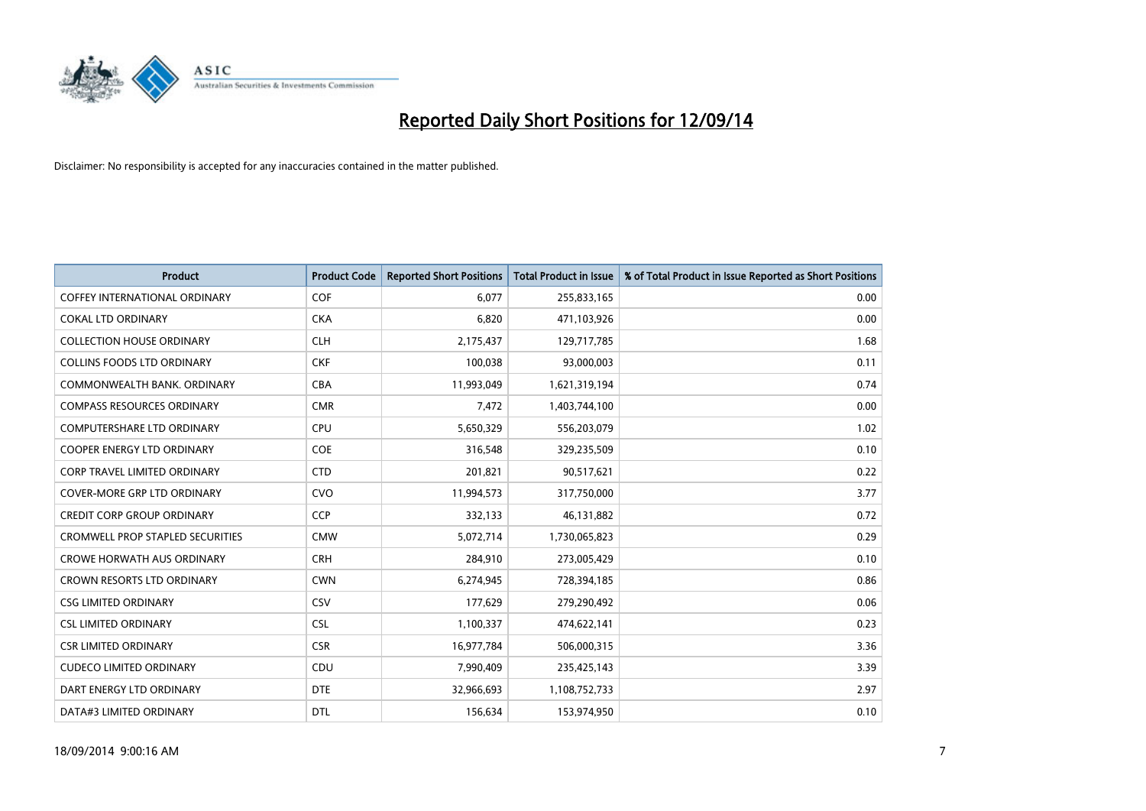

| <b>Product</b>                          | <b>Product Code</b> | <b>Reported Short Positions</b> | <b>Total Product in Issue</b> | % of Total Product in Issue Reported as Short Positions |
|-----------------------------------------|---------------------|---------------------------------|-------------------------------|---------------------------------------------------------|
| <b>COFFEY INTERNATIONAL ORDINARY</b>    | <b>COF</b>          | 6.077                           | 255,833,165                   | 0.00                                                    |
| <b>COKAL LTD ORDINARY</b>               | <b>CKA</b>          | 6,820                           | 471,103,926                   | 0.00                                                    |
| <b>COLLECTION HOUSE ORDINARY</b>        | <b>CLH</b>          | 2,175,437                       | 129,717,785                   | 1.68                                                    |
| <b>COLLINS FOODS LTD ORDINARY</b>       | <b>CKF</b>          | 100,038                         | 93,000,003                    | 0.11                                                    |
| COMMONWEALTH BANK, ORDINARY             | <b>CBA</b>          | 11,993,049                      | 1,621,319,194                 | 0.74                                                    |
| <b>COMPASS RESOURCES ORDINARY</b>       | <b>CMR</b>          | 7,472                           | 1,403,744,100                 | 0.00                                                    |
| <b>COMPUTERSHARE LTD ORDINARY</b>       | <b>CPU</b>          | 5,650,329                       | 556,203,079                   | 1.02                                                    |
| <b>COOPER ENERGY LTD ORDINARY</b>       | <b>COE</b>          | 316,548                         | 329,235,509                   | 0.10                                                    |
| <b>CORP TRAVEL LIMITED ORDINARY</b>     | <b>CTD</b>          | 201,821                         | 90,517,621                    | 0.22                                                    |
| <b>COVER-MORE GRP LTD ORDINARY</b>      | <b>CVO</b>          | 11,994,573                      | 317,750,000                   | 3.77                                                    |
| <b>CREDIT CORP GROUP ORDINARY</b>       | <b>CCP</b>          | 332,133                         | 46,131,882                    | 0.72                                                    |
| <b>CROMWELL PROP STAPLED SECURITIES</b> | <b>CMW</b>          | 5,072,714                       | 1,730,065,823                 | 0.29                                                    |
| <b>CROWE HORWATH AUS ORDINARY</b>       | <b>CRH</b>          | 284,910                         | 273,005,429                   | 0.10                                                    |
| <b>CROWN RESORTS LTD ORDINARY</b>       | <b>CWN</b>          | 6,274,945                       | 728,394,185                   | 0.86                                                    |
| <b>CSG LIMITED ORDINARY</b>             | CSV                 | 177,629                         | 279,290,492                   | 0.06                                                    |
| <b>CSL LIMITED ORDINARY</b>             | <b>CSL</b>          | 1,100,337                       | 474,622,141                   | 0.23                                                    |
| <b>CSR LIMITED ORDINARY</b>             | <b>CSR</b>          | 16,977,784                      | 506,000,315                   | 3.36                                                    |
| <b>CUDECO LIMITED ORDINARY</b>          | <b>CDU</b>          | 7,990,409                       | 235,425,143                   | 3.39                                                    |
| DART ENERGY LTD ORDINARY                | <b>DTE</b>          | 32,966,693                      | 1,108,752,733                 | 2.97                                                    |
| DATA#3 LIMITED ORDINARY                 | <b>DTL</b>          | 156,634                         | 153,974,950                   | 0.10                                                    |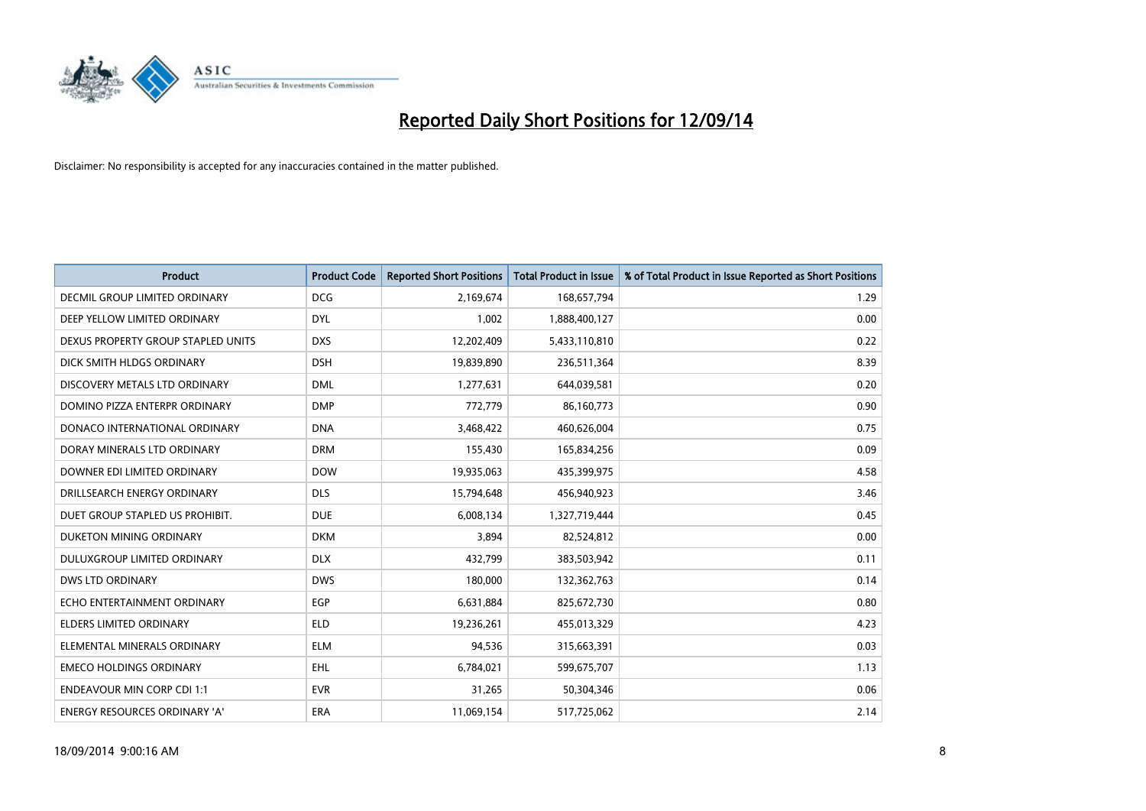

| <b>Product</b>                     | <b>Product Code</b> | <b>Reported Short Positions</b> | <b>Total Product in Issue</b> | % of Total Product in Issue Reported as Short Positions |
|------------------------------------|---------------------|---------------------------------|-------------------------------|---------------------------------------------------------|
| DECMIL GROUP LIMITED ORDINARY      | <b>DCG</b>          | 2,169,674                       | 168,657,794                   | 1.29                                                    |
| DEEP YELLOW LIMITED ORDINARY       | <b>DYL</b>          | 1,002                           | 1,888,400,127                 | 0.00                                                    |
| DEXUS PROPERTY GROUP STAPLED UNITS | <b>DXS</b>          | 12,202,409                      | 5,433,110,810                 | 0.22                                                    |
| DICK SMITH HLDGS ORDINARY          | <b>DSH</b>          | 19,839,890                      | 236,511,364                   | 8.39                                                    |
| DISCOVERY METALS LTD ORDINARY      | <b>DML</b>          | 1,277,631                       | 644,039,581                   | 0.20                                                    |
| DOMINO PIZZA ENTERPR ORDINARY      | <b>DMP</b>          | 772,779                         | 86,160,773                    | 0.90                                                    |
| DONACO INTERNATIONAL ORDINARY      | <b>DNA</b>          | 3,468,422                       | 460,626,004                   | 0.75                                                    |
| DORAY MINERALS LTD ORDINARY        | <b>DRM</b>          | 155,430                         | 165,834,256                   | 0.09                                                    |
| DOWNER EDI LIMITED ORDINARY        | <b>DOW</b>          | 19,935,063                      | 435,399,975                   | 4.58                                                    |
| DRILLSEARCH ENERGY ORDINARY        | <b>DLS</b>          | 15,794,648                      | 456,940,923                   | 3.46                                                    |
| DUET GROUP STAPLED US PROHIBIT.    | <b>DUE</b>          | 6,008,134                       | 1,327,719,444                 | 0.45                                                    |
| DUKETON MINING ORDINARY            | <b>DKM</b>          | 3,894                           | 82,524,812                    | 0.00                                                    |
| <b>DULUXGROUP LIMITED ORDINARY</b> | <b>DLX</b>          | 432,799                         | 383,503,942                   | 0.11                                                    |
| <b>DWS LTD ORDINARY</b>            | <b>DWS</b>          | 180,000                         | 132,362,763                   | 0.14                                                    |
| ECHO ENTERTAINMENT ORDINARY        | <b>EGP</b>          | 6,631,884                       | 825,672,730                   | 0.80                                                    |
| <b>ELDERS LIMITED ORDINARY</b>     | <b>ELD</b>          | 19,236,261                      | 455,013,329                   | 4.23                                                    |
| ELEMENTAL MINERALS ORDINARY        | ELM                 | 94,536                          | 315,663,391                   | 0.03                                                    |
| <b>EMECO HOLDINGS ORDINARY</b>     | <b>EHL</b>          | 6,784,021                       | 599,675,707                   | 1.13                                                    |
| <b>ENDEAVOUR MIN CORP CDI 1:1</b>  | <b>EVR</b>          | 31,265                          | 50,304,346                    | 0.06                                                    |
| ENERGY RESOURCES ORDINARY 'A'      | ERA                 | 11,069,154                      | 517,725,062                   | 2.14                                                    |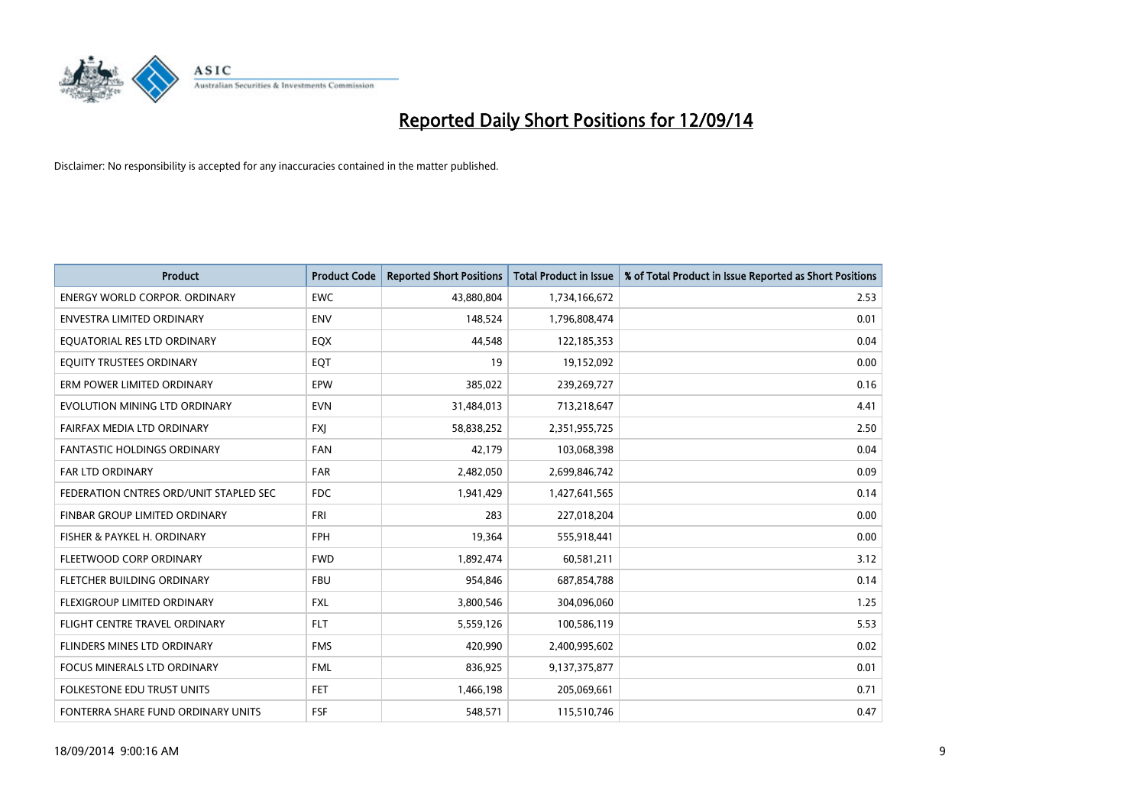

| <b>Product</b>                         | <b>Product Code</b> | <b>Reported Short Positions</b> | <b>Total Product in Issue</b> | % of Total Product in Issue Reported as Short Positions |
|----------------------------------------|---------------------|---------------------------------|-------------------------------|---------------------------------------------------------|
| <b>ENERGY WORLD CORPOR, ORDINARY</b>   | <b>EWC</b>          | 43,880,804                      | 1,734,166,672                 | 2.53                                                    |
| ENVESTRA LIMITED ORDINARY              | <b>ENV</b>          | 148,524                         | 1,796,808,474                 | 0.01                                                    |
| EQUATORIAL RES LTD ORDINARY            | EQX                 | 44,548                          | 122,185,353                   | 0.04                                                    |
| EQUITY TRUSTEES ORDINARY               | EQT                 | 19                              | 19,152,092                    | 0.00                                                    |
| ERM POWER LIMITED ORDINARY             | EPW                 | 385,022                         | 239,269,727                   | 0.16                                                    |
| EVOLUTION MINING LTD ORDINARY          | <b>EVN</b>          | 31,484,013                      | 713,218,647                   | 4.41                                                    |
| FAIRFAX MEDIA LTD ORDINARY             | <b>FXJ</b>          | 58,838,252                      | 2,351,955,725                 | 2.50                                                    |
| <b>FANTASTIC HOLDINGS ORDINARY</b>     | <b>FAN</b>          | 42,179                          | 103,068,398                   | 0.04                                                    |
| FAR LTD ORDINARY                       | FAR                 | 2,482,050                       | 2,699,846,742                 | 0.09                                                    |
| FEDERATION CNTRES ORD/UNIT STAPLED SEC | FDC.                | 1,941,429                       | 1,427,641,565                 | 0.14                                                    |
| FINBAR GROUP LIMITED ORDINARY          | FRI                 | 283                             | 227,018,204                   | 0.00                                                    |
| FISHER & PAYKEL H. ORDINARY            | <b>FPH</b>          | 19,364                          | 555,918,441                   | 0.00                                                    |
| FLEETWOOD CORP ORDINARY                | <b>FWD</b>          | 1,892,474                       | 60,581,211                    | 3.12                                                    |
| FLETCHER BUILDING ORDINARY             | <b>FBU</b>          | 954,846                         | 687,854,788                   | 0.14                                                    |
| FLEXIGROUP LIMITED ORDINARY            | <b>FXL</b>          | 3,800,546                       | 304,096,060                   | 1.25                                                    |
| FLIGHT CENTRE TRAVEL ORDINARY          | <b>FLT</b>          | 5,559,126                       | 100,586,119                   | 5.53                                                    |
| FLINDERS MINES LTD ORDINARY            | <b>FMS</b>          | 420,990                         | 2,400,995,602                 | 0.02                                                    |
| FOCUS MINERALS LTD ORDINARY            | <b>FML</b>          | 836,925                         | 9,137,375,877                 | 0.01                                                    |
| <b>FOLKESTONE EDU TRUST UNITS</b>      | <b>FET</b>          | 1,466,198                       | 205,069,661                   | 0.71                                                    |
| FONTERRA SHARE FUND ORDINARY UNITS     | <b>FSF</b>          | 548,571                         | 115,510,746                   | 0.47                                                    |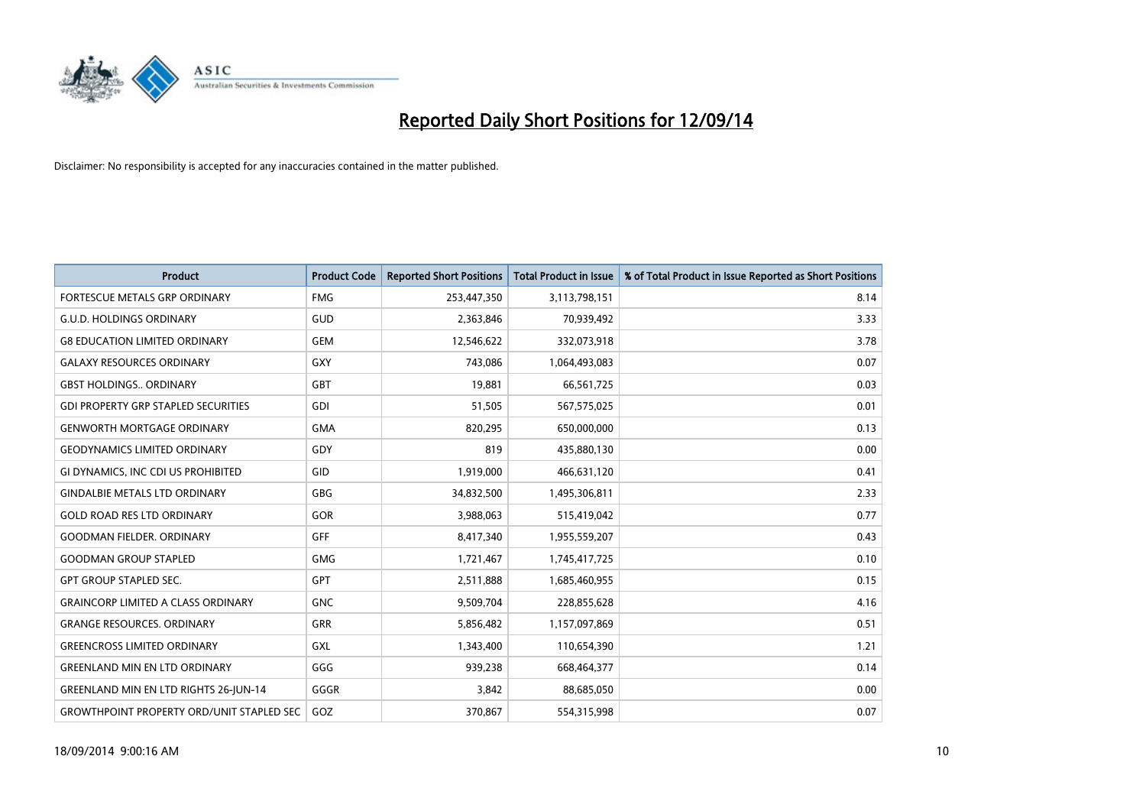

| <b>Product</b>                                   | <b>Product Code</b> | <b>Reported Short Positions</b> | <b>Total Product in Issue</b> | % of Total Product in Issue Reported as Short Positions |
|--------------------------------------------------|---------------------|---------------------------------|-------------------------------|---------------------------------------------------------|
| <b>FORTESCUE METALS GRP ORDINARY</b>             | <b>FMG</b>          | 253,447,350                     | 3,113,798,151                 | 8.14                                                    |
| <b>G.U.D. HOLDINGS ORDINARY</b>                  | GUD                 | 2,363,846                       | 70,939,492                    | 3.33                                                    |
| <b>G8 EDUCATION LIMITED ORDINARY</b>             | <b>GEM</b>          | 12,546,622                      | 332,073,918                   | 3.78                                                    |
| <b>GALAXY RESOURCES ORDINARY</b>                 | GXY                 | 743,086                         | 1,064,493,083                 | 0.07                                                    |
| <b>GBST HOLDINGS., ORDINARY</b>                  | GBT                 | 19,881                          | 66,561,725                    | 0.03                                                    |
| <b>GDI PROPERTY GRP STAPLED SECURITIES</b>       | GDI                 | 51,505                          | 567,575,025                   | 0.01                                                    |
| <b>GENWORTH MORTGAGE ORDINARY</b>                | <b>GMA</b>          | 820,295                         | 650,000,000                   | 0.13                                                    |
| <b>GEODYNAMICS LIMITED ORDINARY</b>              | GDY                 | 819                             | 435,880,130                   | 0.00                                                    |
| GI DYNAMICS, INC CDI US PROHIBITED               | GID                 | 1,919,000                       | 466,631,120                   | 0.41                                                    |
| <b>GINDALBIE METALS LTD ORDINARY</b>             | GBG                 | 34,832,500                      | 1,495,306,811                 | 2.33                                                    |
| <b>GOLD ROAD RES LTD ORDINARY</b>                | GOR                 | 3,988,063                       | 515,419,042                   | 0.77                                                    |
| <b>GOODMAN FIELDER. ORDINARY</b>                 | <b>GFF</b>          | 8,417,340                       | 1,955,559,207                 | 0.43                                                    |
| <b>GOODMAN GROUP STAPLED</b>                     | <b>GMG</b>          | 1,721,467                       | 1,745,417,725                 | 0.10                                                    |
| <b>GPT GROUP STAPLED SEC.</b>                    | <b>GPT</b>          | 2,511,888                       | 1,685,460,955                 | 0.15                                                    |
| <b>GRAINCORP LIMITED A CLASS ORDINARY</b>        | GNC                 | 9,509,704                       | 228,855,628                   | 4.16                                                    |
| <b>GRANGE RESOURCES. ORDINARY</b>                | GRR                 | 5,856,482                       | 1,157,097,869                 | 0.51                                                    |
| <b>GREENCROSS LIMITED ORDINARY</b>               | GXL                 | 1,343,400                       | 110,654,390                   | 1.21                                                    |
| <b>GREENLAND MIN EN LTD ORDINARY</b>             | GGG                 | 939,238                         | 668,464,377                   | 0.14                                                    |
| <b>GREENLAND MIN EN LTD RIGHTS 26-JUN-14</b>     | GGGR                | 3,842                           | 88,685,050                    | 0.00                                                    |
| <b>GROWTHPOINT PROPERTY ORD/UNIT STAPLED SEC</b> | GOZ                 | 370,867                         | 554,315,998                   | 0.07                                                    |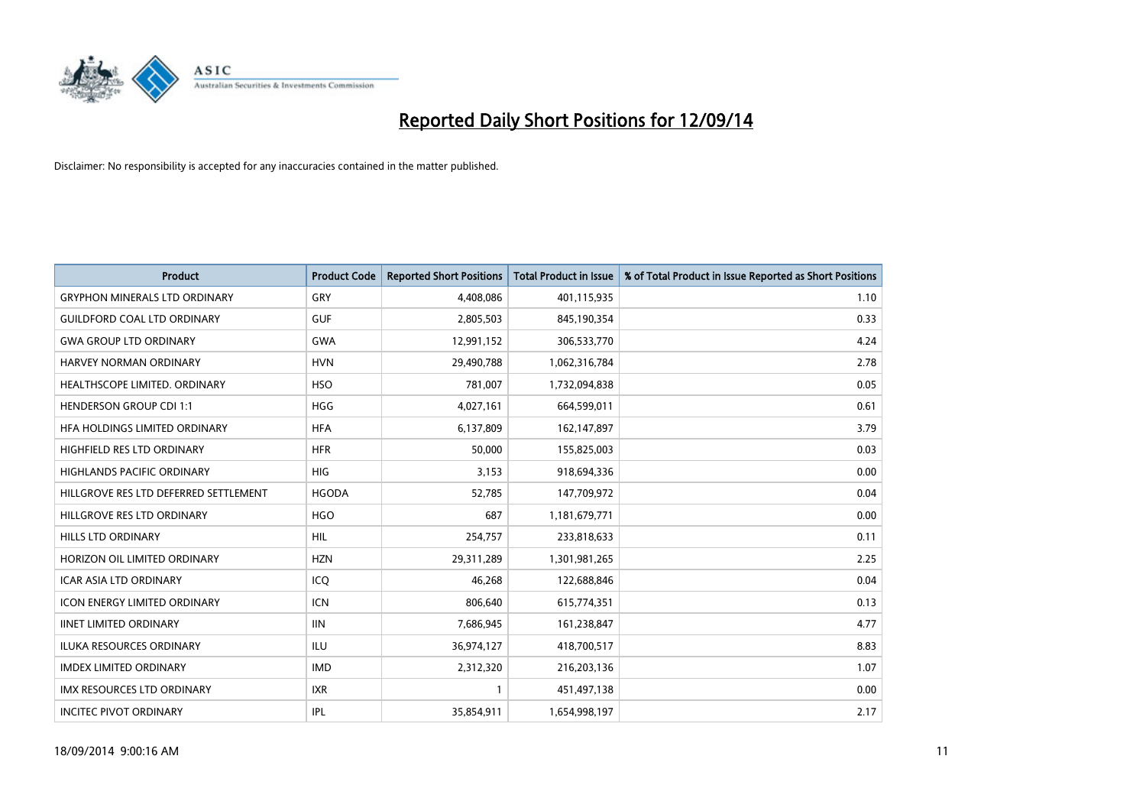

| <b>Product</b>                        | <b>Product Code</b> | <b>Reported Short Positions</b> | <b>Total Product in Issue</b> | % of Total Product in Issue Reported as Short Positions |
|---------------------------------------|---------------------|---------------------------------|-------------------------------|---------------------------------------------------------|
| <b>GRYPHON MINERALS LTD ORDINARY</b>  | GRY                 | 4,408,086                       | 401,115,935                   | 1.10                                                    |
| <b>GUILDFORD COAL LTD ORDINARY</b>    | <b>GUF</b>          | 2,805,503                       | 845,190,354                   | 0.33                                                    |
| <b>GWA GROUP LTD ORDINARY</b>         | <b>GWA</b>          | 12,991,152                      | 306,533,770                   | 4.24                                                    |
| <b>HARVEY NORMAN ORDINARY</b>         | <b>HVN</b>          | 29,490,788                      | 1,062,316,784                 | 2.78                                                    |
| HEALTHSCOPE LIMITED. ORDINARY         | <b>HSO</b>          | 781,007                         | 1,732,094,838                 | 0.05                                                    |
| <b>HENDERSON GROUP CDI 1:1</b>        | <b>HGG</b>          | 4,027,161                       | 664,599,011                   | 0.61                                                    |
| <b>HFA HOLDINGS LIMITED ORDINARY</b>  | <b>HFA</b>          | 6,137,809                       | 162,147,897                   | 3.79                                                    |
| HIGHFIELD RES LTD ORDINARY            | <b>HFR</b>          | 50,000                          | 155,825,003                   | 0.03                                                    |
| <b>HIGHLANDS PACIFIC ORDINARY</b>     | <b>HIG</b>          | 3,153                           | 918,694,336                   | 0.00                                                    |
| HILLGROVE RES LTD DEFERRED SETTLEMENT | <b>HGODA</b>        | 52,785                          | 147,709,972                   | 0.04                                                    |
| HILLGROVE RES LTD ORDINARY            | <b>HGO</b>          | 687                             | 1,181,679,771                 | 0.00                                                    |
| <b>HILLS LTD ORDINARY</b>             | <b>HIL</b>          | 254,757                         | 233,818,633                   | 0.11                                                    |
| HORIZON OIL LIMITED ORDINARY          | <b>HZN</b>          | 29,311,289                      | 1,301,981,265                 | 2.25                                                    |
| <b>ICAR ASIA LTD ORDINARY</b>         | ICQ                 | 46,268                          | 122,688,846                   | 0.04                                                    |
| <b>ICON ENERGY LIMITED ORDINARY</b>   | <b>ICN</b>          | 806,640                         | 615,774,351                   | 0.13                                                    |
| <b>IINET LIMITED ORDINARY</b>         | <b>IIN</b>          | 7,686,945                       | 161,238,847                   | 4.77                                                    |
| ILUKA RESOURCES ORDINARY              | ILU                 | 36,974,127                      | 418,700,517                   | 8.83                                                    |
| <b>IMDEX LIMITED ORDINARY</b>         | <b>IMD</b>          | 2,312,320                       | 216,203,136                   | 1.07                                                    |
| <b>IMX RESOURCES LTD ORDINARY</b>     | <b>IXR</b>          | $\mathbf{1}$                    | 451,497,138                   | 0.00                                                    |
| <b>INCITEC PIVOT ORDINARY</b>         | <b>IPL</b>          | 35,854,911                      | 1,654,998,197                 | 2.17                                                    |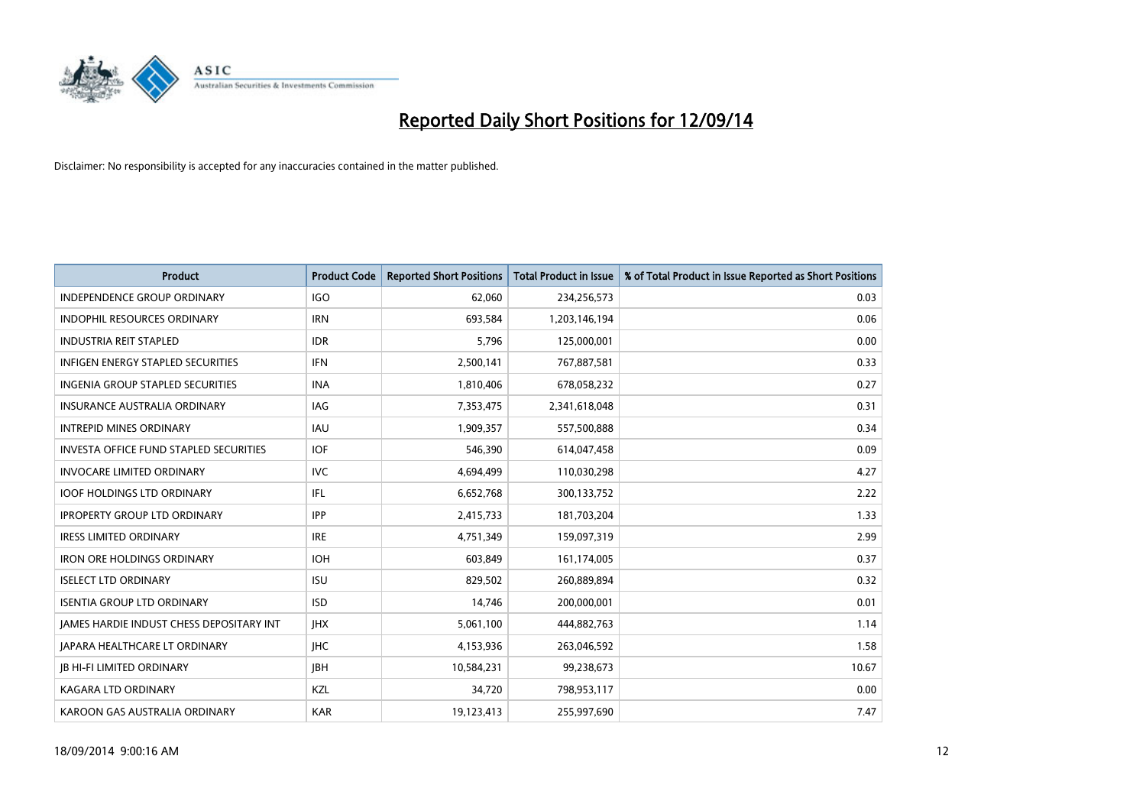

| <b>Product</b>                                | <b>Product Code</b> | <b>Reported Short Positions</b> | <b>Total Product in Issue</b> | % of Total Product in Issue Reported as Short Positions |
|-----------------------------------------------|---------------------|---------------------------------|-------------------------------|---------------------------------------------------------|
| <b>INDEPENDENCE GROUP ORDINARY</b>            | <b>IGO</b>          | 62,060                          | 234,256,573                   | 0.03                                                    |
| INDOPHIL RESOURCES ORDINARY                   | <b>IRN</b>          | 693,584                         | 1,203,146,194                 | 0.06                                                    |
| <b>INDUSTRIA REIT STAPLED</b>                 | <b>IDR</b>          | 5,796                           | 125,000,001                   | 0.00                                                    |
| INFIGEN ENERGY STAPLED SECURITIES             | <b>IFN</b>          | 2,500,141                       | 767,887,581                   | 0.33                                                    |
| <b>INGENIA GROUP STAPLED SECURITIES</b>       | <b>INA</b>          | 1,810,406                       | 678,058,232                   | 0.27                                                    |
| <b>INSURANCE AUSTRALIA ORDINARY</b>           | IAG                 | 7,353,475                       | 2,341,618,048                 | 0.31                                                    |
| <b>INTREPID MINES ORDINARY</b>                | IAU                 | 1,909,357                       | 557,500,888                   | 0.34                                                    |
| <b>INVESTA OFFICE FUND STAPLED SECURITIES</b> | <b>IOF</b>          | 546,390                         | 614,047,458                   | 0.09                                                    |
| <b>INVOCARE LIMITED ORDINARY</b>              | <b>IVC</b>          | 4,694,499                       | 110,030,298                   | 4.27                                                    |
| <b>IOOF HOLDINGS LTD ORDINARY</b>             | IFL                 | 6,652,768                       | 300,133,752                   | 2.22                                                    |
| <b>IPROPERTY GROUP LTD ORDINARY</b>           | <b>IPP</b>          | 2,415,733                       | 181,703,204                   | 1.33                                                    |
| <b>IRESS LIMITED ORDINARY</b>                 | <b>IRE</b>          | 4,751,349                       | 159,097,319                   | 2.99                                                    |
| <b>IRON ORE HOLDINGS ORDINARY</b>             | <b>IOH</b>          | 603,849                         | 161,174,005                   | 0.37                                                    |
| <b>ISELECT LTD ORDINARY</b>                   | <b>ISU</b>          | 829,502                         | 260,889,894                   | 0.32                                                    |
| <b>ISENTIA GROUP LTD ORDINARY</b>             | <b>ISD</b>          | 14,746                          | 200,000,001                   | 0.01                                                    |
| JAMES HARDIE INDUST CHESS DEPOSITARY INT      | <b>IHX</b>          | 5,061,100                       | 444,882,763                   | 1.14                                                    |
| <b>JAPARA HEALTHCARE LT ORDINARY</b>          | <b>IHC</b>          | 4,153,936                       | 263,046,592                   | 1.58                                                    |
| <b>JB HI-FI LIMITED ORDINARY</b>              | JBH                 | 10,584,231                      | 99,238,673                    | 10.67                                                   |
| KAGARA LTD ORDINARY                           | KZL                 | 34,720                          | 798,953,117                   | 0.00                                                    |
| KAROON GAS AUSTRALIA ORDINARY                 | <b>KAR</b>          | 19,123,413                      | 255,997,690                   | 7.47                                                    |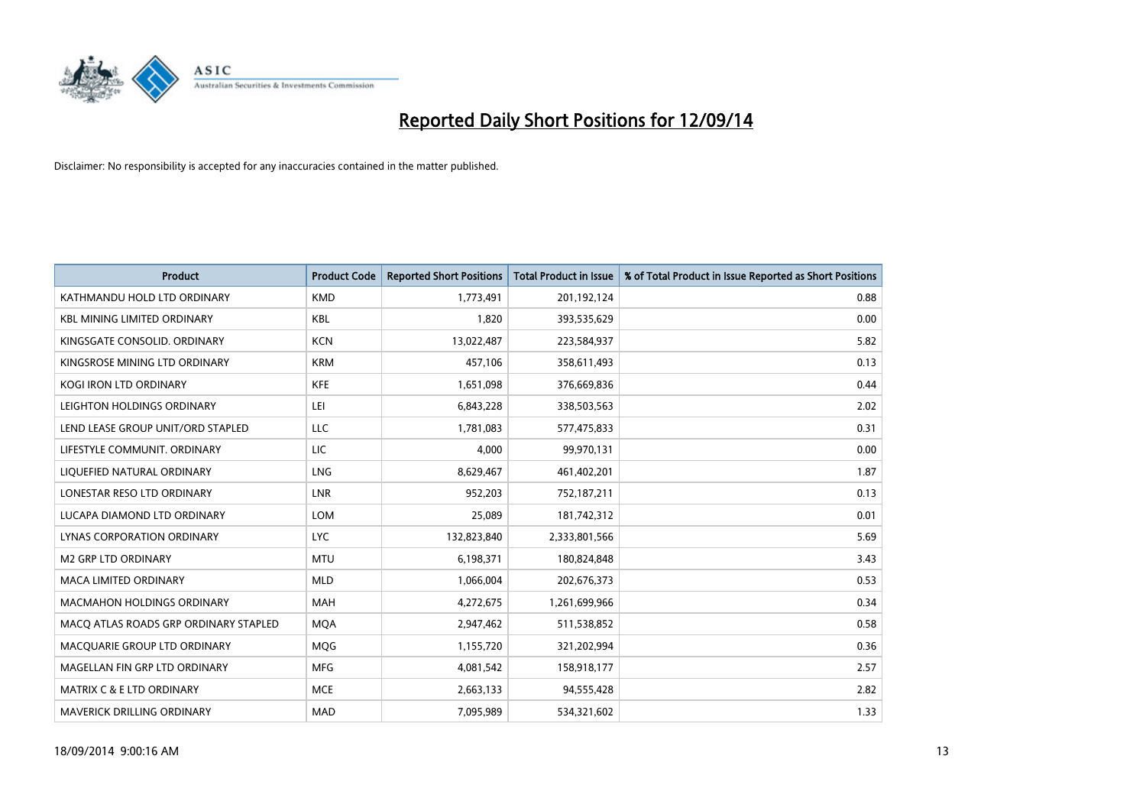

| <b>Product</b>                        | <b>Product Code</b> | <b>Reported Short Positions</b> | <b>Total Product in Issue</b> | % of Total Product in Issue Reported as Short Positions |
|---------------------------------------|---------------------|---------------------------------|-------------------------------|---------------------------------------------------------|
| KATHMANDU HOLD LTD ORDINARY           | <b>KMD</b>          | 1,773,491                       | 201,192,124                   | 0.88                                                    |
| <b>KBL MINING LIMITED ORDINARY</b>    | KBL                 | 1,820                           | 393,535,629                   | 0.00                                                    |
| KINGSGATE CONSOLID. ORDINARY          | <b>KCN</b>          | 13,022,487                      | 223,584,937                   | 5.82                                                    |
| KINGSROSE MINING LTD ORDINARY         | <b>KRM</b>          | 457,106                         | 358,611,493                   | 0.13                                                    |
| <b>KOGI IRON LTD ORDINARY</b>         | <b>KFE</b>          | 1,651,098                       | 376,669,836                   | 0.44                                                    |
| LEIGHTON HOLDINGS ORDINARY            | LEI.                | 6,843,228                       | 338,503,563                   | 2.02                                                    |
| LEND LEASE GROUP UNIT/ORD STAPLED     | LLC                 | 1,781,083                       | 577,475,833                   | 0.31                                                    |
| LIFESTYLE COMMUNIT. ORDINARY          | LIC                 | 4,000                           | 99,970,131                    | 0.00                                                    |
| LIQUEFIED NATURAL ORDINARY            | LNG                 | 8,629,467                       | 461,402,201                   | 1.87                                                    |
| LONESTAR RESO LTD ORDINARY            | <b>LNR</b>          | 952,203                         | 752,187,211                   | 0.13                                                    |
| LUCAPA DIAMOND LTD ORDINARY           | LOM                 | 25,089                          | 181,742,312                   | 0.01                                                    |
| <b>LYNAS CORPORATION ORDINARY</b>     | <b>LYC</b>          | 132,823,840                     | 2,333,801,566                 | 5.69                                                    |
| M2 GRP LTD ORDINARY                   | <b>MTU</b>          | 6,198,371                       | 180,824,848                   | 3.43                                                    |
| <b>MACA LIMITED ORDINARY</b>          | <b>MLD</b>          | 1,066,004                       | 202,676,373                   | 0.53                                                    |
| <b>MACMAHON HOLDINGS ORDINARY</b>     | <b>MAH</b>          | 4,272,675                       | 1,261,699,966                 | 0.34                                                    |
| MACO ATLAS ROADS GRP ORDINARY STAPLED | <b>MOA</b>          | 2,947,462                       | 511,538,852                   | 0.58                                                    |
| MACQUARIE GROUP LTD ORDINARY          | <b>MQG</b>          | 1,155,720                       | 321,202,994                   | 0.36                                                    |
| MAGELLAN FIN GRP LTD ORDINARY         | <b>MFG</b>          | 4,081,542                       | 158,918,177                   | 2.57                                                    |
| MATRIX C & E LTD ORDINARY             | <b>MCE</b>          | 2,663,133                       | 94,555,428                    | 2.82                                                    |
| MAVERICK DRILLING ORDINARY            | <b>MAD</b>          | 7,095,989                       | 534,321,602                   | 1.33                                                    |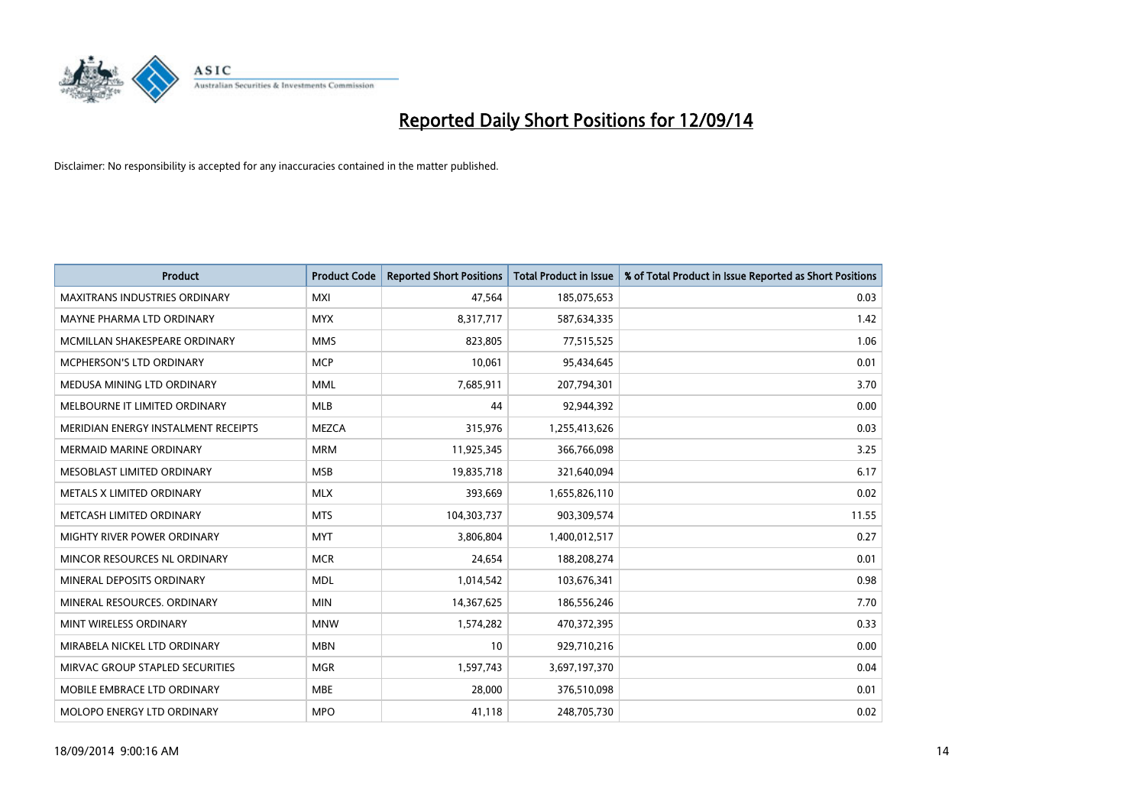

| <b>Product</b>                       | <b>Product Code</b> | <b>Reported Short Positions</b> | <b>Total Product in Issue</b> | % of Total Product in Issue Reported as Short Positions |
|--------------------------------------|---------------------|---------------------------------|-------------------------------|---------------------------------------------------------|
| <b>MAXITRANS INDUSTRIES ORDINARY</b> | <b>MXI</b>          | 47,564                          | 185,075,653                   | 0.03                                                    |
| MAYNE PHARMA LTD ORDINARY            | <b>MYX</b>          | 8,317,717                       | 587,634,335                   | 1.42                                                    |
| MCMILLAN SHAKESPEARE ORDINARY        | <b>MMS</b>          | 823.805                         | 77,515,525                    | 1.06                                                    |
| MCPHERSON'S LTD ORDINARY             | <b>MCP</b>          | 10,061                          | 95,434,645                    | 0.01                                                    |
| MEDUSA MINING LTD ORDINARY           | <b>MML</b>          | 7,685,911                       | 207,794,301                   | 3.70                                                    |
| MELBOURNE IT LIMITED ORDINARY        | <b>MLB</b>          | 44                              | 92,944,392                    | 0.00                                                    |
| MERIDIAN ENERGY INSTALMENT RECEIPTS  | <b>MEZCA</b>        | 315,976                         | 1,255,413,626                 | 0.03                                                    |
| <b>MERMAID MARINE ORDINARY</b>       | <b>MRM</b>          | 11,925,345                      | 366,766,098                   | 3.25                                                    |
| MESOBLAST LIMITED ORDINARY           | <b>MSB</b>          | 19,835,718                      | 321,640,094                   | 6.17                                                    |
| METALS X LIMITED ORDINARY            | <b>MLX</b>          | 393,669                         | 1,655,826,110                 | 0.02                                                    |
| METCASH LIMITED ORDINARY             | <b>MTS</b>          | 104,303,737                     | 903,309,574                   | 11.55                                                   |
| MIGHTY RIVER POWER ORDINARY          | <b>MYT</b>          | 3,806,804                       | 1,400,012,517                 | 0.27                                                    |
| MINCOR RESOURCES NL ORDINARY         | <b>MCR</b>          | 24,654                          | 188,208,274                   | 0.01                                                    |
| MINERAL DEPOSITS ORDINARY            | <b>MDL</b>          | 1,014,542                       | 103,676,341                   | 0.98                                                    |
| MINERAL RESOURCES, ORDINARY          | <b>MIN</b>          | 14,367,625                      | 186,556,246                   | 7.70                                                    |
| MINT WIRELESS ORDINARY               | <b>MNW</b>          | 1,574,282                       | 470,372,395                   | 0.33                                                    |
| MIRABELA NICKEL LTD ORDINARY         | <b>MBN</b>          | 10                              | 929,710,216                   | 0.00                                                    |
| MIRVAC GROUP STAPLED SECURITIES      | <b>MGR</b>          | 1,597,743                       | 3,697,197,370                 | 0.04                                                    |
| MOBILE EMBRACE LTD ORDINARY          | <b>MBE</b>          | 28,000                          | 376,510,098                   | 0.01                                                    |
| MOLOPO ENERGY LTD ORDINARY           | <b>MPO</b>          | 41,118                          | 248,705,730                   | 0.02                                                    |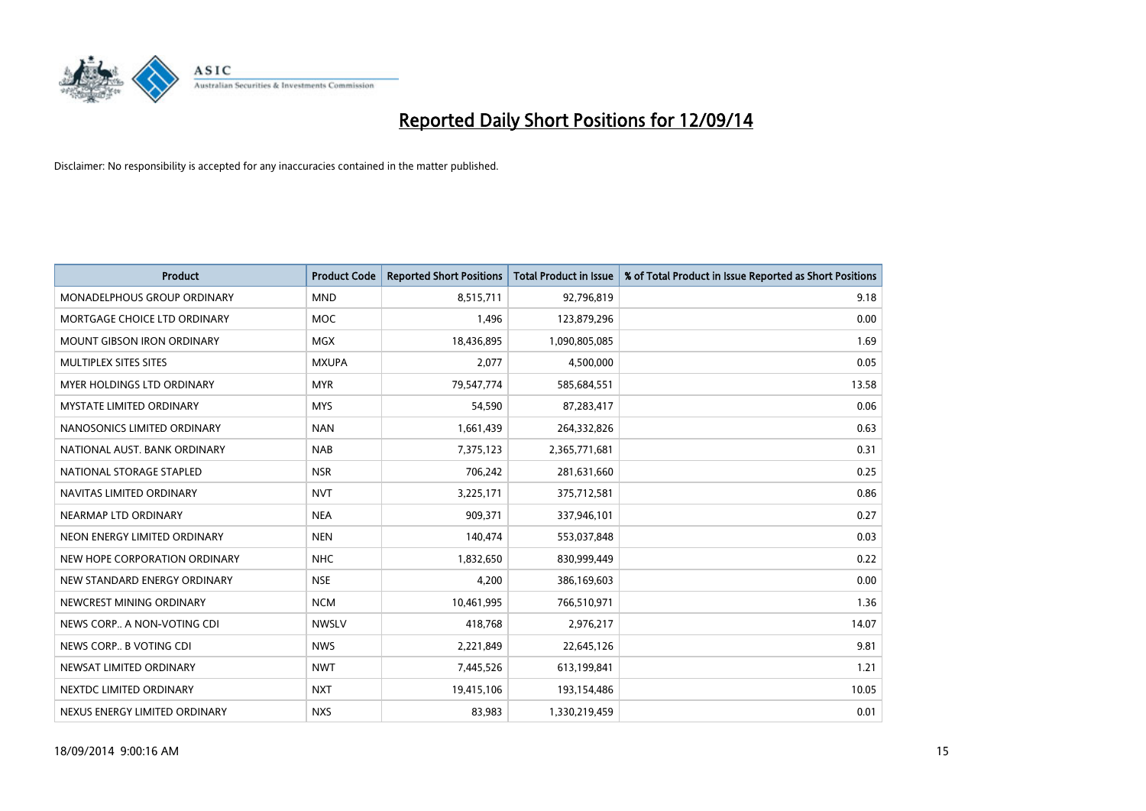

| <b>Product</b>                    | <b>Product Code</b> | <b>Reported Short Positions</b> | <b>Total Product in Issue</b> | % of Total Product in Issue Reported as Short Positions |
|-----------------------------------|---------------------|---------------------------------|-------------------------------|---------------------------------------------------------|
| MONADELPHOUS GROUP ORDINARY       | <b>MND</b>          | 8,515,711                       | 92,796,819                    | 9.18                                                    |
| MORTGAGE CHOICE LTD ORDINARY      | <b>MOC</b>          | 1,496                           | 123,879,296                   | 0.00                                                    |
| <b>MOUNT GIBSON IRON ORDINARY</b> | MGX                 | 18,436,895                      | 1,090,805,085                 | 1.69                                                    |
| MULTIPLEX SITES SITES             | <b>MXUPA</b>        | 2,077                           | 4,500,000                     | 0.05                                                    |
| <b>MYER HOLDINGS LTD ORDINARY</b> | <b>MYR</b>          | 79,547,774                      | 585,684,551                   | 13.58                                                   |
| <b>MYSTATE LIMITED ORDINARY</b>   | <b>MYS</b>          | 54,590                          | 87,283,417                    | 0.06                                                    |
| NANOSONICS LIMITED ORDINARY       | <b>NAN</b>          | 1,661,439                       | 264,332,826                   | 0.63                                                    |
| NATIONAL AUST, BANK ORDINARY      | <b>NAB</b>          | 7,375,123                       | 2,365,771,681                 | 0.31                                                    |
| NATIONAL STORAGE STAPLED          | <b>NSR</b>          | 706,242                         | 281,631,660                   | 0.25                                                    |
| NAVITAS LIMITED ORDINARY          | <b>NVT</b>          | 3,225,171                       | 375,712,581                   | 0.86                                                    |
| NEARMAP LTD ORDINARY              | <b>NEA</b>          | 909,371                         | 337,946,101                   | 0.27                                                    |
| NEON ENERGY LIMITED ORDINARY      | <b>NEN</b>          | 140,474                         | 553,037,848                   | 0.03                                                    |
| NEW HOPE CORPORATION ORDINARY     | <b>NHC</b>          | 1,832,650                       | 830,999,449                   | 0.22                                                    |
| NEW STANDARD ENERGY ORDINARY      | <b>NSE</b>          | 4,200                           | 386,169,603                   | 0.00                                                    |
| NEWCREST MINING ORDINARY          | <b>NCM</b>          | 10,461,995                      | 766,510,971                   | 1.36                                                    |
| NEWS CORP A NON-VOTING CDI        | <b>NWSLV</b>        | 418,768                         | 2,976,217                     | 14.07                                                   |
| NEWS CORP B VOTING CDI            | <b>NWS</b>          | 2,221,849                       | 22,645,126                    | 9.81                                                    |
| NEWSAT LIMITED ORDINARY           | <b>NWT</b>          | 7,445,526                       | 613,199,841                   | 1.21                                                    |
| NEXTDC LIMITED ORDINARY           | <b>NXT</b>          | 19,415,106                      | 193,154,486                   | 10.05                                                   |
| NEXUS ENERGY LIMITED ORDINARY     | <b>NXS</b>          | 83,983                          | 1,330,219,459                 | 0.01                                                    |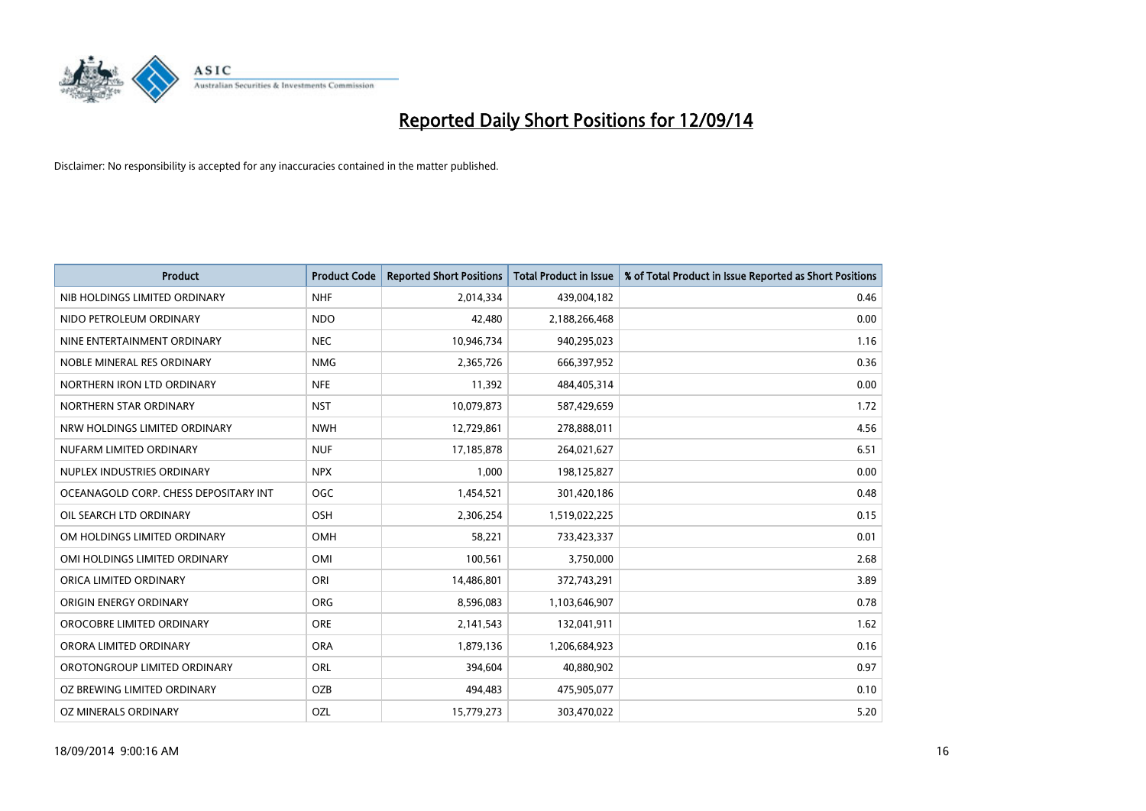

| <b>Product</b>                        | <b>Product Code</b> | <b>Reported Short Positions</b> | <b>Total Product in Issue</b> | % of Total Product in Issue Reported as Short Positions |
|---------------------------------------|---------------------|---------------------------------|-------------------------------|---------------------------------------------------------|
| NIB HOLDINGS LIMITED ORDINARY         | <b>NHF</b>          | 2,014,334                       | 439,004,182                   | 0.46                                                    |
| NIDO PETROLEUM ORDINARY               | <b>NDO</b>          | 42,480                          | 2,188,266,468                 | 0.00                                                    |
| NINE ENTERTAINMENT ORDINARY           | <b>NEC</b>          | 10,946,734                      | 940,295,023                   | 1.16                                                    |
| NOBLE MINERAL RES ORDINARY            | <b>NMG</b>          | 2,365,726                       | 666,397,952                   | 0.36                                                    |
| NORTHERN IRON LTD ORDINARY            | <b>NFE</b>          | 11,392                          | 484,405,314                   | 0.00                                                    |
| NORTHERN STAR ORDINARY                | <b>NST</b>          | 10,079,873                      | 587,429,659                   | 1.72                                                    |
| NRW HOLDINGS LIMITED ORDINARY         | <b>NWH</b>          | 12,729,861                      | 278,888,011                   | 4.56                                                    |
| NUFARM LIMITED ORDINARY               | <b>NUF</b>          | 17,185,878                      | 264,021,627                   | 6.51                                                    |
| NUPLEX INDUSTRIES ORDINARY            | <b>NPX</b>          | 1.000                           | 198,125,827                   | 0.00                                                    |
| OCEANAGOLD CORP. CHESS DEPOSITARY INT | <b>OGC</b>          | 1,454,521                       | 301,420,186                   | 0.48                                                    |
| OIL SEARCH LTD ORDINARY               | OSH                 | 2,306,254                       | 1,519,022,225                 | 0.15                                                    |
| OM HOLDINGS LIMITED ORDINARY          | OMH                 | 58,221                          | 733,423,337                   | 0.01                                                    |
| OMI HOLDINGS LIMITED ORDINARY         | OMI                 | 100,561                         | 3,750,000                     | 2.68                                                    |
| ORICA LIMITED ORDINARY                | ORI                 | 14,486,801                      | 372,743,291                   | 3.89                                                    |
| ORIGIN ENERGY ORDINARY                | <b>ORG</b>          | 8,596,083                       | 1,103,646,907                 | 0.78                                                    |
| OROCOBRE LIMITED ORDINARY             | <b>ORE</b>          | 2,141,543                       | 132,041,911                   | 1.62                                                    |
| ORORA LIMITED ORDINARY                | <b>ORA</b>          | 1,879,136                       | 1,206,684,923                 | 0.16                                                    |
| OROTONGROUP LIMITED ORDINARY          | ORL                 | 394,604                         | 40,880,902                    | 0.97                                                    |
| OZ BREWING LIMITED ORDINARY           | OZB                 | 494,483                         | 475,905,077                   | 0.10                                                    |
| OZ MINERALS ORDINARY                  | OZL                 | 15,779,273                      | 303,470,022                   | 5.20                                                    |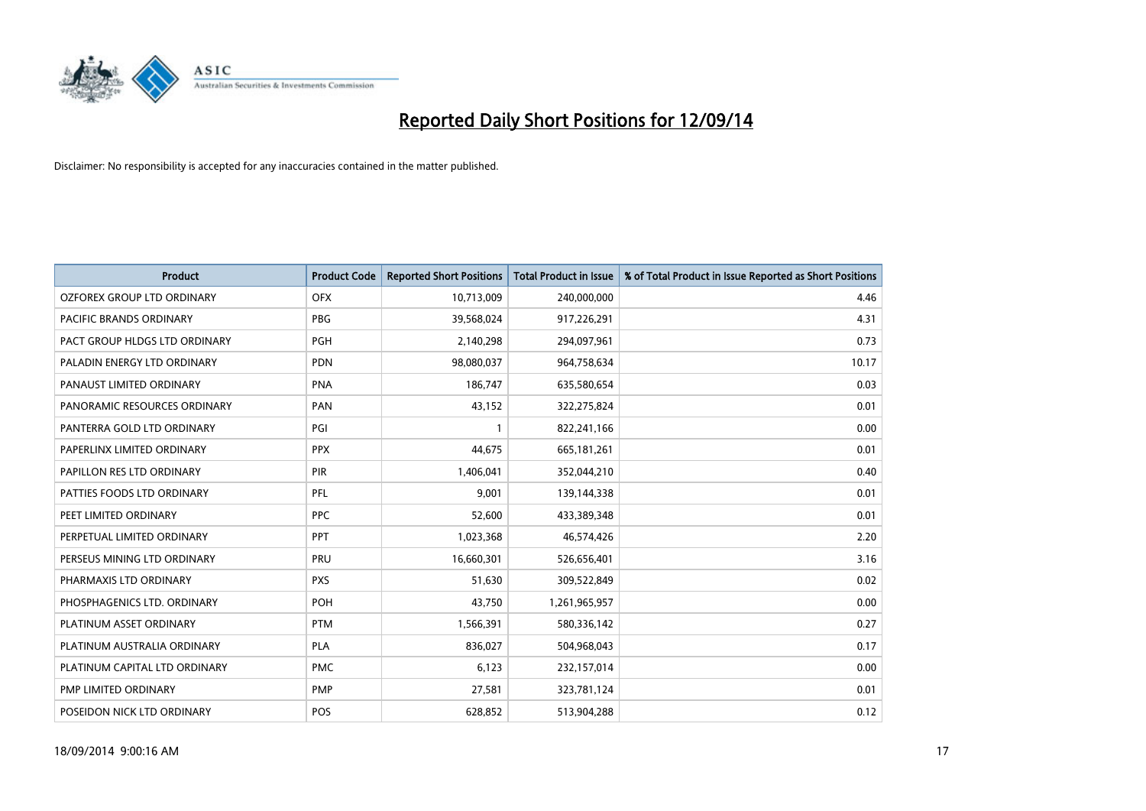

| <b>Product</b>                | <b>Product Code</b> | <b>Reported Short Positions</b> | <b>Total Product in Issue</b> | % of Total Product in Issue Reported as Short Positions |
|-------------------------------|---------------------|---------------------------------|-------------------------------|---------------------------------------------------------|
| OZFOREX GROUP LTD ORDINARY    | <b>OFX</b>          | 10,713,009                      | 240,000,000                   | 4.46                                                    |
| PACIFIC BRANDS ORDINARY       | <b>PBG</b>          | 39,568,024                      | 917,226,291                   | 4.31                                                    |
| PACT GROUP HLDGS LTD ORDINARY | <b>PGH</b>          | 2,140,298                       | 294,097,961                   | 0.73                                                    |
| PALADIN ENERGY LTD ORDINARY   | <b>PDN</b>          | 98,080,037                      | 964,758,634                   | 10.17                                                   |
| PANAUST LIMITED ORDINARY      | <b>PNA</b>          | 186,747                         | 635,580,654                   | 0.03                                                    |
| PANORAMIC RESOURCES ORDINARY  | PAN                 | 43,152                          | 322,275,824                   | 0.01                                                    |
| PANTERRA GOLD LTD ORDINARY    | PGI                 |                                 | 822,241,166                   | 0.00                                                    |
| PAPERLINX LIMITED ORDINARY    | <b>PPX</b>          | 44,675                          | 665, 181, 261                 | 0.01                                                    |
| PAPILLON RES LTD ORDINARY     | <b>PIR</b>          | 1,406,041                       | 352,044,210                   | 0.40                                                    |
| PATTIES FOODS LTD ORDINARY    | <b>PFL</b>          | 9,001                           | 139,144,338                   | 0.01                                                    |
| PEET LIMITED ORDINARY         | <b>PPC</b>          | 52,600                          | 433,389,348                   | 0.01                                                    |
| PERPETUAL LIMITED ORDINARY    | PPT                 | 1,023,368                       | 46,574,426                    | 2.20                                                    |
| PERSEUS MINING LTD ORDINARY   | PRU                 | 16,660,301                      | 526,656,401                   | 3.16                                                    |
| PHARMAXIS LTD ORDINARY        | <b>PXS</b>          | 51,630                          | 309,522,849                   | 0.02                                                    |
| PHOSPHAGENICS LTD. ORDINARY   | POH                 | 43,750                          | 1,261,965,957                 | 0.00                                                    |
| PLATINUM ASSET ORDINARY       | <b>PTM</b>          | 1,566,391                       | 580,336,142                   | 0.27                                                    |
| PLATINUM AUSTRALIA ORDINARY   | <b>PLA</b>          | 836,027                         | 504,968,043                   | 0.17                                                    |
| PLATINUM CAPITAL LTD ORDINARY | <b>PMC</b>          | 6,123                           | 232,157,014                   | 0.00                                                    |
| PMP LIMITED ORDINARY          | <b>PMP</b>          | 27,581                          | 323,781,124                   | 0.01                                                    |
| POSEIDON NICK LTD ORDINARY    | <b>POS</b>          | 628,852                         | 513,904,288                   | 0.12                                                    |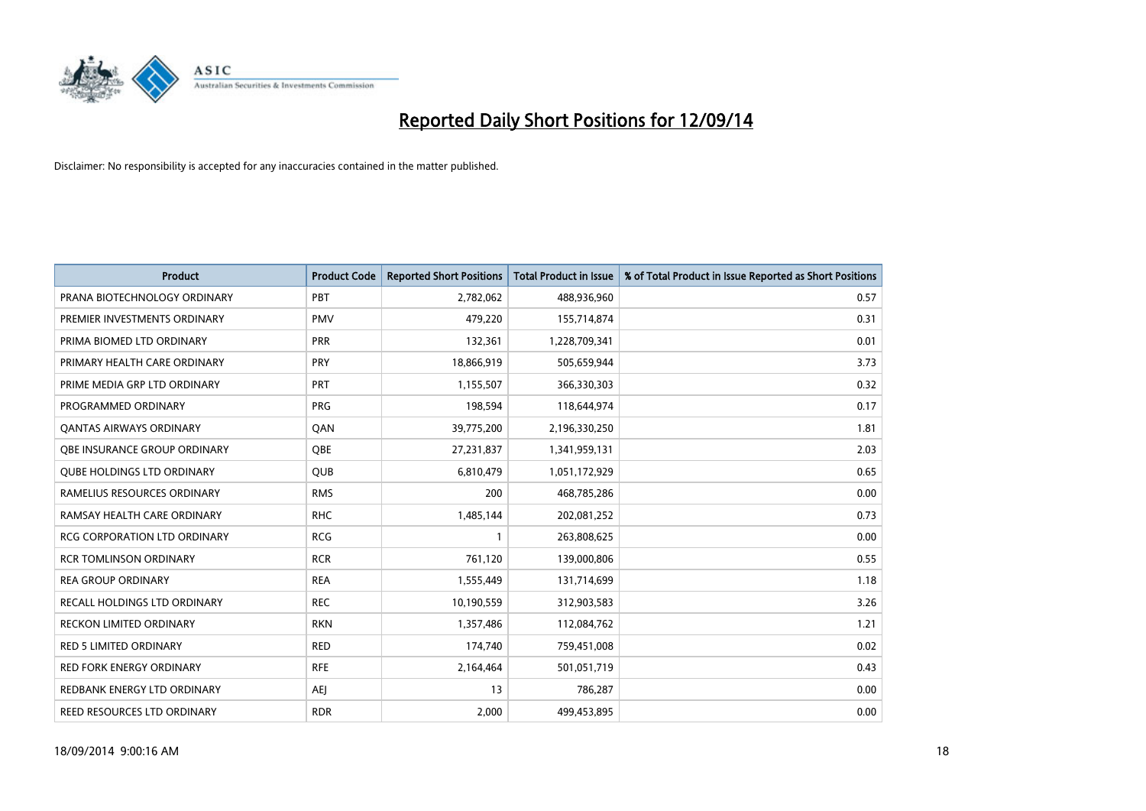

| Product                             | <b>Product Code</b> | <b>Reported Short Positions</b> | <b>Total Product in Issue</b> | % of Total Product in Issue Reported as Short Positions |
|-------------------------------------|---------------------|---------------------------------|-------------------------------|---------------------------------------------------------|
| PRANA BIOTECHNOLOGY ORDINARY        | PBT                 | 2,782,062                       | 488,936,960                   | 0.57                                                    |
| PREMIER INVESTMENTS ORDINARY        | <b>PMV</b>          | 479,220                         | 155,714,874                   | 0.31                                                    |
| PRIMA BIOMED LTD ORDINARY           | <b>PRR</b>          | 132,361                         | 1,228,709,341                 | 0.01                                                    |
| PRIMARY HEALTH CARE ORDINARY        | <b>PRY</b>          | 18,866,919                      | 505,659,944                   | 3.73                                                    |
| PRIME MEDIA GRP LTD ORDINARY        | <b>PRT</b>          | 1,155,507                       | 366,330,303                   | 0.32                                                    |
| PROGRAMMED ORDINARY                 | <b>PRG</b>          | 198,594                         | 118,644,974                   | 0.17                                                    |
| <b>QANTAS AIRWAYS ORDINARY</b>      | QAN                 | 39,775,200                      | 2,196,330,250                 | 1.81                                                    |
| OBE INSURANCE GROUP ORDINARY        | OBE                 | 27,231,837                      | 1,341,959,131                 | 2.03                                                    |
| <b>QUBE HOLDINGS LTD ORDINARY</b>   | <b>QUB</b>          | 6,810,479                       | 1,051,172,929                 | 0.65                                                    |
| RAMELIUS RESOURCES ORDINARY         | <b>RMS</b>          | 200                             | 468,785,286                   | 0.00                                                    |
| RAMSAY HEALTH CARE ORDINARY         | <b>RHC</b>          | 1,485,144                       | 202,081,252                   | 0.73                                                    |
| <b>RCG CORPORATION LTD ORDINARY</b> | <b>RCG</b>          | $\mathbf{1}$                    | 263,808,625                   | 0.00                                                    |
| RCR TOMLINSON ORDINARY              | <b>RCR</b>          | 761,120                         | 139,000,806                   | 0.55                                                    |
| <b>REA GROUP ORDINARY</b>           | <b>REA</b>          | 1,555,449                       | 131,714,699                   | 1.18                                                    |
| <b>RECALL HOLDINGS LTD ORDINARY</b> | <b>REC</b>          | 10,190,559                      | 312,903,583                   | 3.26                                                    |
| <b>RECKON LIMITED ORDINARY</b>      | <b>RKN</b>          | 1,357,486                       | 112,084,762                   | 1.21                                                    |
| RED 5 LIMITED ORDINARY              | <b>RED</b>          | 174,740                         | 759,451,008                   | 0.02                                                    |
| <b>RED FORK ENERGY ORDINARY</b>     | <b>RFE</b>          | 2,164,464                       | 501,051,719                   | 0.43                                                    |
| REDBANK ENERGY LTD ORDINARY         | <b>AEI</b>          | 13                              | 786,287                       | 0.00                                                    |
| REED RESOURCES LTD ORDINARY         | <b>RDR</b>          | 2,000                           | 499,453,895                   | 0.00                                                    |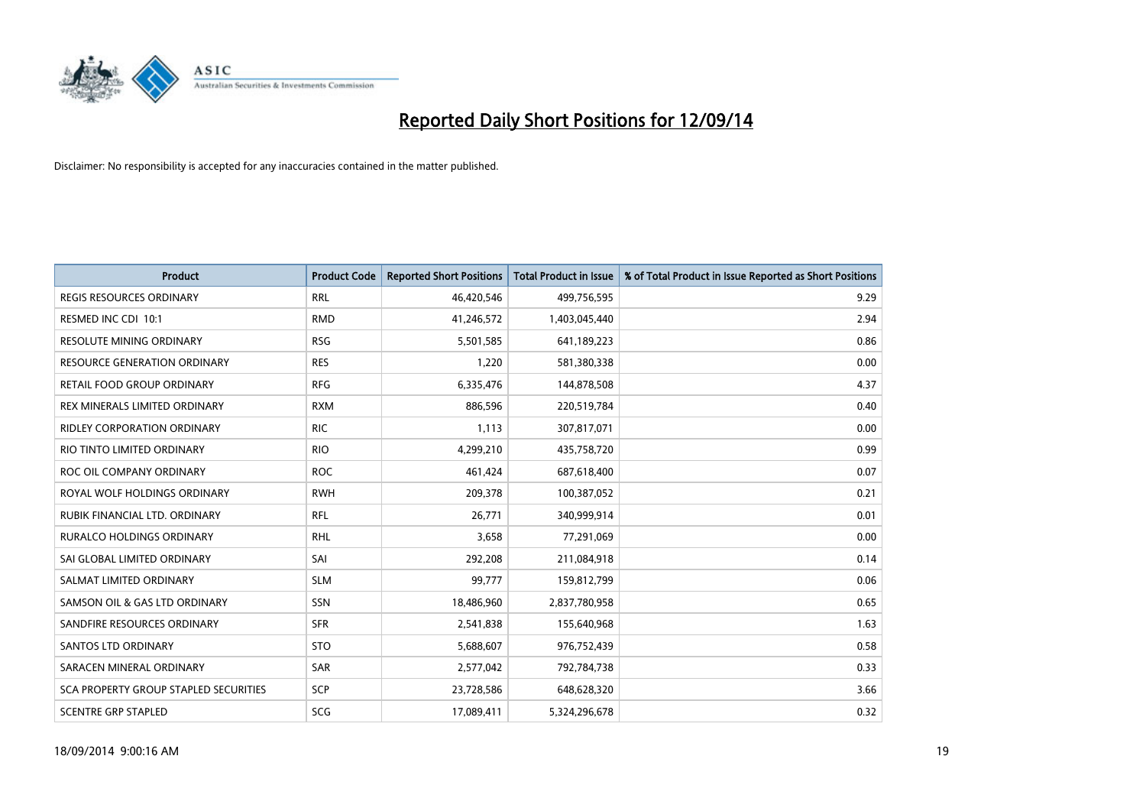

| <b>Product</b>                               | <b>Product Code</b> | <b>Reported Short Positions</b> | <b>Total Product in Issue</b> | % of Total Product in Issue Reported as Short Positions |
|----------------------------------------------|---------------------|---------------------------------|-------------------------------|---------------------------------------------------------|
| <b>REGIS RESOURCES ORDINARY</b>              | <b>RRL</b>          | 46,420,546                      | 499,756,595                   | 9.29                                                    |
| RESMED INC CDI 10:1                          | <b>RMD</b>          | 41,246,572                      | 1,403,045,440                 | 2.94                                                    |
| <b>RESOLUTE MINING ORDINARY</b>              | <b>RSG</b>          | 5,501,585                       | 641,189,223                   | 0.86                                                    |
| RESOURCE GENERATION ORDINARY                 | <b>RES</b>          | 1,220                           | 581,380,338                   | 0.00                                                    |
| RETAIL FOOD GROUP ORDINARY                   | <b>RFG</b>          | 6,335,476                       | 144,878,508                   | 4.37                                                    |
| REX MINERALS LIMITED ORDINARY                | <b>RXM</b>          | 886,596                         | 220,519,784                   | 0.40                                                    |
| <b>RIDLEY CORPORATION ORDINARY</b>           | <b>RIC</b>          | 1,113                           | 307,817,071                   | 0.00                                                    |
| RIO TINTO LIMITED ORDINARY                   | <b>RIO</b>          | 4,299,210                       | 435,758,720                   | 0.99                                                    |
| ROC OIL COMPANY ORDINARY                     | <b>ROC</b>          | 461,424                         | 687,618,400                   | 0.07                                                    |
| ROYAL WOLF HOLDINGS ORDINARY                 | <b>RWH</b>          | 209,378                         | 100,387,052                   | 0.21                                                    |
| RUBIK FINANCIAL LTD. ORDINARY                | RFL                 | 26,771                          | 340,999,914                   | 0.01                                                    |
| <b>RURALCO HOLDINGS ORDINARY</b>             | <b>RHL</b>          | 3,658                           | 77,291,069                    | 0.00                                                    |
| SAI GLOBAL LIMITED ORDINARY                  | SAI                 | 292,208                         | 211,084,918                   | 0.14                                                    |
| SALMAT LIMITED ORDINARY                      | <b>SLM</b>          | 99,777                          | 159,812,799                   | 0.06                                                    |
| SAMSON OIL & GAS LTD ORDINARY                | SSN                 | 18,486,960                      | 2,837,780,958                 | 0.65                                                    |
| SANDFIRE RESOURCES ORDINARY                  | <b>SFR</b>          | 2,541,838                       | 155,640,968                   | 1.63                                                    |
| <b>SANTOS LTD ORDINARY</b>                   | <b>STO</b>          | 5,688,607                       | 976,752,439                   | 0.58                                                    |
| SARACEN MINERAL ORDINARY                     | <b>SAR</b>          | 2,577,042                       | 792,784,738                   | 0.33                                                    |
| <b>SCA PROPERTY GROUP STAPLED SECURITIES</b> | <b>SCP</b>          | 23,728,586                      | 648,628,320                   | 3.66                                                    |
| <b>SCENTRE GRP STAPLED</b>                   | SCG                 | 17,089,411                      | 5,324,296,678                 | 0.32                                                    |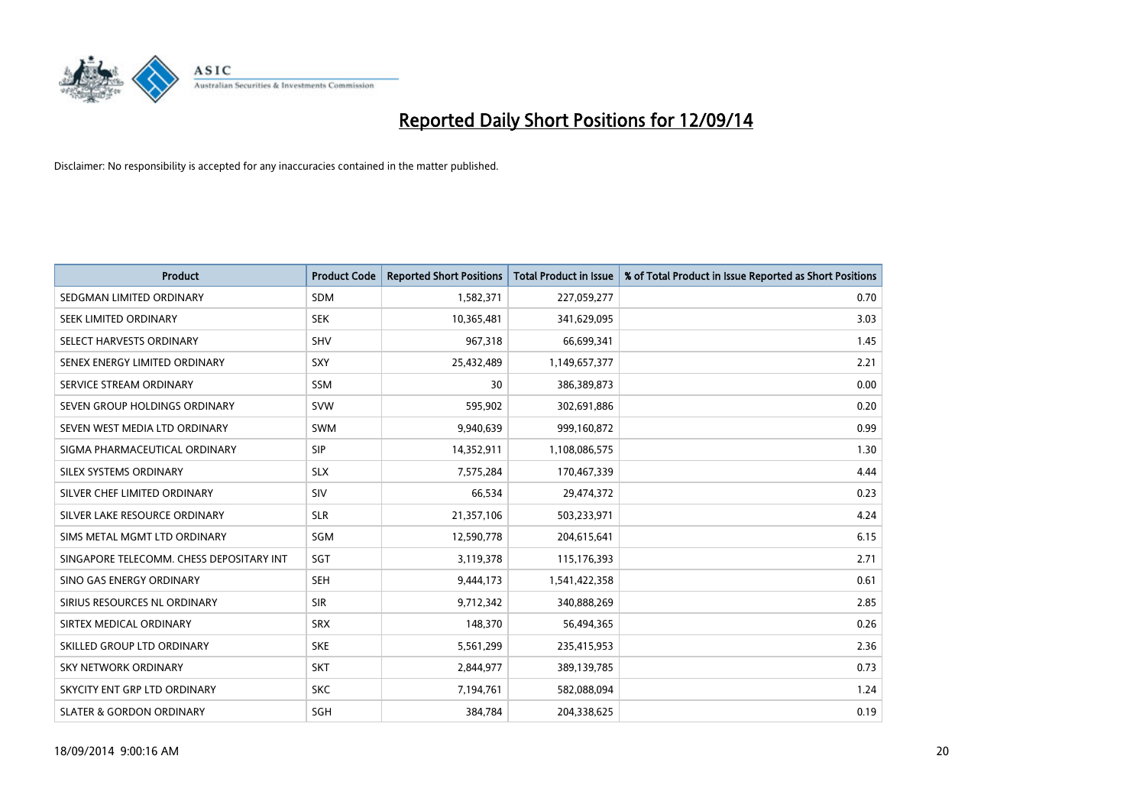

| <b>Product</b>                           | <b>Product Code</b> | <b>Reported Short Positions</b> | <b>Total Product in Issue</b> | % of Total Product in Issue Reported as Short Positions |
|------------------------------------------|---------------------|---------------------------------|-------------------------------|---------------------------------------------------------|
| SEDGMAN LIMITED ORDINARY                 | <b>SDM</b>          | 1,582,371                       | 227,059,277                   | 0.70                                                    |
| SEEK LIMITED ORDINARY                    | <b>SEK</b>          | 10,365,481                      | 341,629,095                   | 3.03                                                    |
| SELECT HARVESTS ORDINARY                 | <b>SHV</b>          | 967,318                         | 66,699,341                    | 1.45                                                    |
| SENEX ENERGY LIMITED ORDINARY            | <b>SXY</b>          | 25,432,489                      | 1,149,657,377                 | 2.21                                                    |
| SERVICE STREAM ORDINARY                  | SSM                 | 30                              | 386,389,873                   | 0.00                                                    |
| SEVEN GROUP HOLDINGS ORDINARY            | <b>SVW</b>          | 595,902                         | 302,691,886                   | 0.20                                                    |
| SEVEN WEST MEDIA LTD ORDINARY            | SWM                 | 9,940,639                       | 999,160,872                   | 0.99                                                    |
| SIGMA PHARMACEUTICAL ORDINARY            | <b>SIP</b>          | 14,352,911                      | 1,108,086,575                 | 1.30                                                    |
| SILEX SYSTEMS ORDINARY                   | <b>SLX</b>          | 7,575,284                       | 170,467,339                   | 4.44                                                    |
| SILVER CHEF LIMITED ORDINARY             | SIV                 | 66,534                          | 29,474,372                    | 0.23                                                    |
| SILVER LAKE RESOURCE ORDINARY            | <b>SLR</b>          | 21,357,106                      | 503,233,971                   | 4.24                                                    |
| SIMS METAL MGMT LTD ORDINARY             | SGM                 | 12,590,778                      | 204,615,641                   | 6.15                                                    |
| SINGAPORE TELECOMM. CHESS DEPOSITARY INT | SGT                 | 3,119,378                       | 115,176,393                   | 2.71                                                    |
| SINO GAS ENERGY ORDINARY                 | SEH                 | 9,444,173                       | 1,541,422,358                 | 0.61                                                    |
| SIRIUS RESOURCES NL ORDINARY             | <b>SIR</b>          | 9,712,342                       | 340,888,269                   | 2.85                                                    |
| SIRTEX MEDICAL ORDINARY                  | <b>SRX</b>          | 148,370                         | 56,494,365                    | 0.26                                                    |
| SKILLED GROUP LTD ORDINARY               | <b>SKE</b>          | 5,561,299                       | 235,415,953                   | 2.36                                                    |
| <b>SKY NETWORK ORDINARY</b>              | <b>SKT</b>          | 2,844,977                       | 389,139,785                   | 0.73                                                    |
| SKYCITY ENT GRP LTD ORDINARY             | <b>SKC</b>          | 7,194,761                       | 582,088,094                   | 1.24                                                    |
| <b>SLATER &amp; GORDON ORDINARY</b>      | SGH                 | 384,784                         | 204,338,625                   | 0.19                                                    |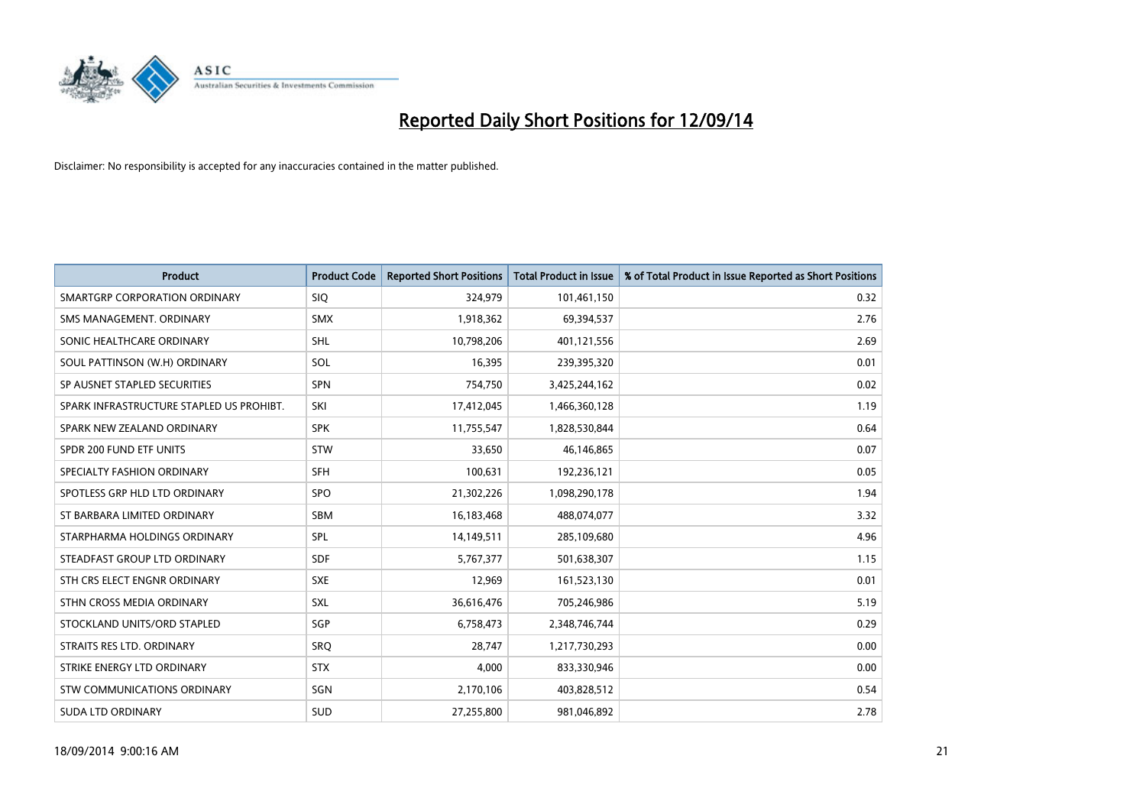

| <b>Product</b>                           | <b>Product Code</b> | <b>Reported Short Positions</b> | <b>Total Product in Issue</b> | % of Total Product in Issue Reported as Short Positions |
|------------------------------------------|---------------------|---------------------------------|-------------------------------|---------------------------------------------------------|
| SMARTGRP CORPORATION ORDINARY            | <b>SIQ</b>          | 324,979                         | 101,461,150                   | 0.32                                                    |
| SMS MANAGEMENT, ORDINARY                 | <b>SMX</b>          | 1,918,362                       | 69,394,537                    | 2.76                                                    |
| SONIC HEALTHCARE ORDINARY                | <b>SHL</b>          | 10,798,206                      | 401,121,556                   | 2.69                                                    |
| SOUL PATTINSON (W.H) ORDINARY            | SOL                 | 16,395                          | 239,395,320                   | 0.01                                                    |
| SP AUSNET STAPLED SECURITIES             | SPN                 | 754,750                         | 3,425,244,162                 | 0.02                                                    |
| SPARK INFRASTRUCTURE STAPLED US PROHIBT. | SKI                 | 17,412,045                      | 1,466,360,128                 | 1.19                                                    |
| SPARK NEW ZEALAND ORDINARY               | <b>SPK</b>          | 11,755,547                      | 1,828,530,844                 | 0.64                                                    |
| SPDR 200 FUND ETF UNITS                  | <b>STW</b>          | 33,650                          | 46,146,865                    | 0.07                                                    |
| SPECIALTY FASHION ORDINARY               | <b>SFH</b>          | 100,631                         | 192,236,121                   | 0.05                                                    |
| SPOTLESS GRP HLD LTD ORDINARY            | SPO                 | 21,302,226                      | 1,098,290,178                 | 1.94                                                    |
| ST BARBARA LIMITED ORDINARY              | <b>SBM</b>          | 16,183,468                      | 488,074,077                   | 3.32                                                    |
| STARPHARMA HOLDINGS ORDINARY             | <b>SPL</b>          | 14,149,511                      | 285,109,680                   | 4.96                                                    |
| STEADFAST GROUP LTD ORDINARY             | <b>SDF</b>          | 5,767,377                       | 501,638,307                   | 1.15                                                    |
| STH CRS ELECT ENGNR ORDINARY             | <b>SXE</b>          | 12,969                          | 161,523,130                   | 0.01                                                    |
| STHN CROSS MEDIA ORDINARY                | <b>SXL</b>          | 36,616,476                      | 705,246,986                   | 5.19                                                    |
| STOCKLAND UNITS/ORD STAPLED              | SGP                 | 6,758,473                       | 2,348,746,744                 | 0.29                                                    |
| STRAITS RES LTD. ORDINARY                | <b>SRQ</b>          | 28,747                          | 1,217,730,293                 | 0.00                                                    |
| STRIKE ENERGY LTD ORDINARY               | <b>STX</b>          | 4,000                           | 833,330,946                   | 0.00                                                    |
| STW COMMUNICATIONS ORDINARY              | SGN                 | 2,170,106                       | 403,828,512                   | 0.54                                                    |
| <b>SUDA LTD ORDINARY</b>                 | <b>SUD</b>          | 27,255,800                      | 981,046,892                   | 2.78                                                    |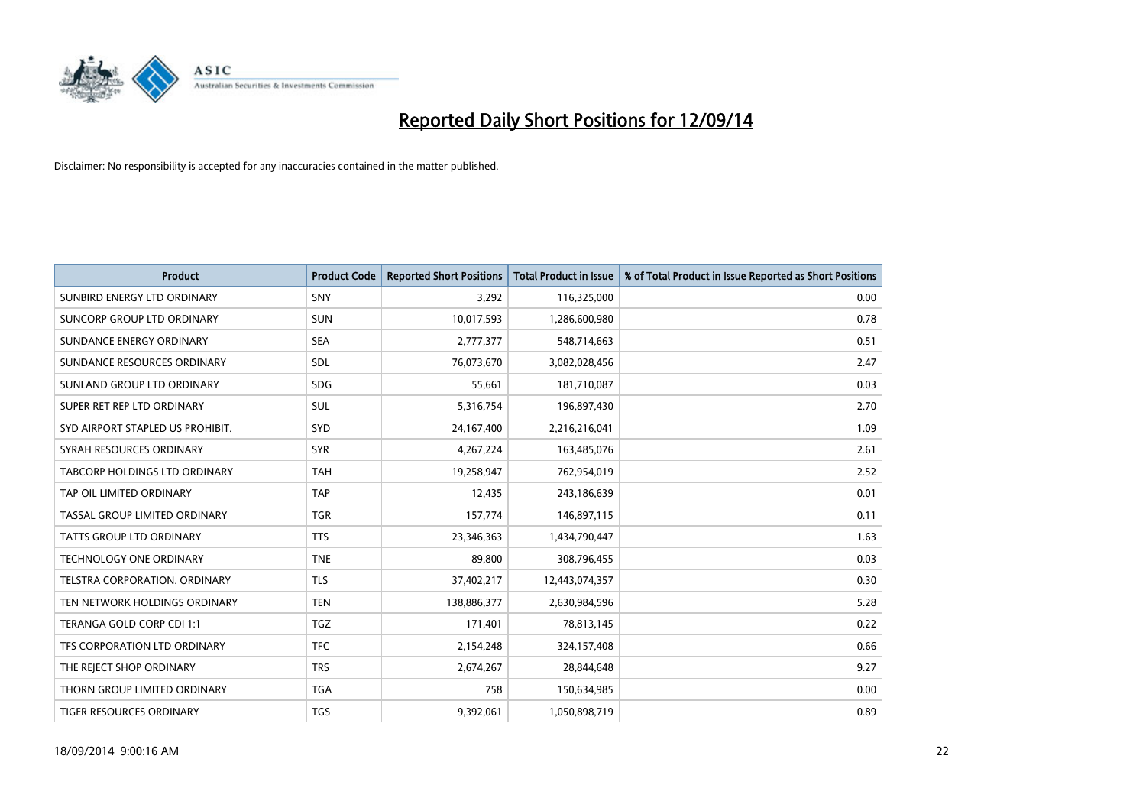

| <b>Product</b>                   | <b>Product Code</b> | <b>Reported Short Positions</b> | <b>Total Product in Issue</b> | % of Total Product in Issue Reported as Short Positions |
|----------------------------------|---------------------|---------------------------------|-------------------------------|---------------------------------------------------------|
| SUNBIRD ENERGY LTD ORDINARY      | SNY                 | 3,292                           | 116,325,000                   | 0.00                                                    |
| SUNCORP GROUP LTD ORDINARY       | <b>SUN</b>          | 10,017,593                      | 1,286,600,980                 | 0.78                                                    |
| SUNDANCE ENERGY ORDINARY         | <b>SEA</b>          | 2,777,377                       | 548,714,663                   | 0.51                                                    |
| SUNDANCE RESOURCES ORDINARY      | SDL                 | 76,073,670                      | 3,082,028,456                 | 2.47                                                    |
| SUNLAND GROUP LTD ORDINARY       | <b>SDG</b>          | 55,661                          | 181,710,087                   | 0.03                                                    |
| SUPER RET REP LTD ORDINARY       | SUL                 | 5,316,754                       | 196,897,430                   | 2.70                                                    |
| SYD AIRPORT STAPLED US PROHIBIT. | <b>SYD</b>          | 24,167,400                      | 2,216,216,041                 | 1.09                                                    |
| SYRAH RESOURCES ORDINARY         | <b>SYR</b>          | 4,267,224                       | 163,485,076                   | 2.61                                                    |
| TABCORP HOLDINGS LTD ORDINARY    | <b>TAH</b>          | 19,258,947                      | 762,954,019                   | 2.52                                                    |
| TAP OIL LIMITED ORDINARY         | <b>TAP</b>          | 12,435                          | 243,186,639                   | 0.01                                                    |
| TASSAL GROUP LIMITED ORDINARY    | <b>TGR</b>          | 157,774                         | 146,897,115                   | 0.11                                                    |
| <b>TATTS GROUP LTD ORDINARY</b>  | <b>TTS</b>          | 23,346,363                      | 1,434,790,447                 | 1.63                                                    |
| <b>TECHNOLOGY ONE ORDINARY</b>   | <b>TNE</b>          | 89,800                          | 308,796,455                   | 0.03                                                    |
| TELSTRA CORPORATION, ORDINARY    | <b>TLS</b>          | 37,402,217                      | 12,443,074,357                | 0.30                                                    |
| TEN NETWORK HOLDINGS ORDINARY    | <b>TEN</b>          | 138,886,377                     | 2,630,984,596                 | 5.28                                                    |
| TERANGA GOLD CORP CDI 1:1        | <b>TGZ</b>          | 171,401                         | 78,813,145                    | 0.22                                                    |
| TFS CORPORATION LTD ORDINARY     | <b>TFC</b>          | 2,154,248                       | 324,157,408                   | 0.66                                                    |
| THE REJECT SHOP ORDINARY         | <b>TRS</b>          | 2,674,267                       | 28,844,648                    | 9.27                                                    |
| THORN GROUP LIMITED ORDINARY     | <b>TGA</b>          | 758                             | 150,634,985                   | 0.00                                                    |
| TIGER RESOURCES ORDINARY         | <b>TGS</b>          | 9,392,061                       | 1,050,898,719                 | 0.89                                                    |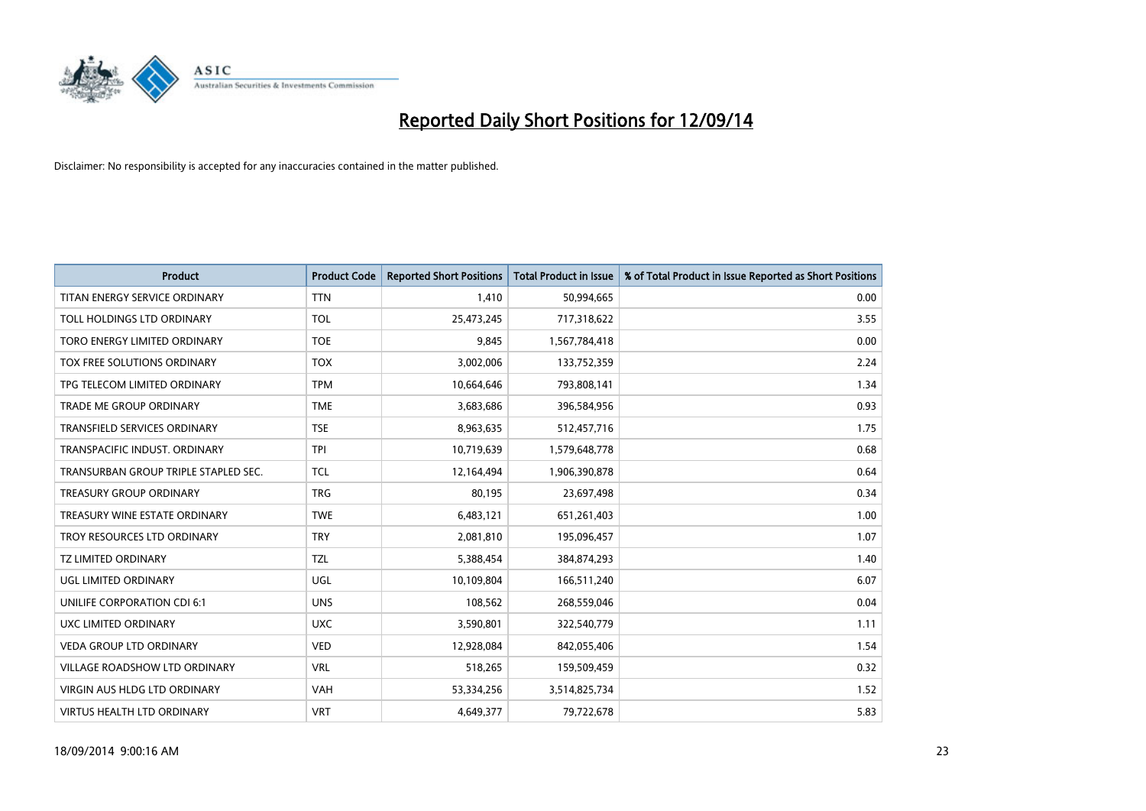

| <b>Product</b>                       | <b>Product Code</b> | <b>Reported Short Positions</b> | <b>Total Product in Issue</b> | % of Total Product in Issue Reported as Short Positions |
|--------------------------------------|---------------------|---------------------------------|-------------------------------|---------------------------------------------------------|
| TITAN ENERGY SERVICE ORDINARY        | <b>TTN</b>          | 1,410                           | 50,994,665                    | 0.00                                                    |
| TOLL HOLDINGS LTD ORDINARY           | <b>TOL</b>          | 25,473,245                      | 717,318,622                   | 3.55                                                    |
| TORO ENERGY LIMITED ORDINARY         | <b>TOE</b>          | 9,845                           | 1,567,784,418                 | 0.00                                                    |
| TOX FREE SOLUTIONS ORDINARY          | <b>TOX</b>          | 3,002,006                       | 133,752,359                   | 2.24                                                    |
| TPG TELECOM LIMITED ORDINARY         | <b>TPM</b>          | 10,664,646                      | 793,808,141                   | 1.34                                                    |
| TRADE ME GROUP ORDINARY              | <b>TME</b>          | 3,683,686                       | 396,584,956                   | 0.93                                                    |
| TRANSFIELD SERVICES ORDINARY         | <b>TSE</b>          | 8,963,635                       | 512,457,716                   | 1.75                                                    |
| TRANSPACIFIC INDUST. ORDINARY        | <b>TPI</b>          | 10,719,639                      | 1,579,648,778                 | 0.68                                                    |
| TRANSURBAN GROUP TRIPLE STAPLED SEC. | <b>TCL</b>          | 12,164,494                      | 1,906,390,878                 | 0.64                                                    |
| <b>TREASURY GROUP ORDINARY</b>       | <b>TRG</b>          | 80,195                          | 23,697,498                    | 0.34                                                    |
| TREASURY WINE ESTATE ORDINARY        | <b>TWE</b>          | 6,483,121                       | 651,261,403                   | 1.00                                                    |
| TROY RESOURCES LTD ORDINARY          | <b>TRY</b>          | 2,081,810                       | 195,096,457                   | 1.07                                                    |
| <b>TZ LIMITED ORDINARY</b>           | <b>TZL</b>          | 5,388,454                       | 384,874,293                   | 1.40                                                    |
| <b>UGL LIMITED ORDINARY</b>          | UGL                 | 10,109,804                      | 166,511,240                   | 6.07                                                    |
| UNILIFE CORPORATION CDI 6:1          | <b>UNS</b>          | 108,562                         | 268,559,046                   | 0.04                                                    |
| UXC LIMITED ORDINARY                 | <b>UXC</b>          | 3,590,801                       | 322,540,779                   | 1.11                                                    |
| <b>VEDA GROUP LTD ORDINARY</b>       | <b>VED</b>          | 12,928,084                      | 842,055,406                   | 1.54                                                    |
| VILLAGE ROADSHOW LTD ORDINARY        | <b>VRL</b>          | 518,265                         | 159,509,459                   | 0.32                                                    |
| VIRGIN AUS HLDG LTD ORDINARY         | <b>VAH</b>          | 53,334,256                      | 3,514,825,734                 | 1.52                                                    |
| VIRTUS HEALTH LTD ORDINARY           | <b>VRT</b>          | 4,649,377                       | 79,722,678                    | 5.83                                                    |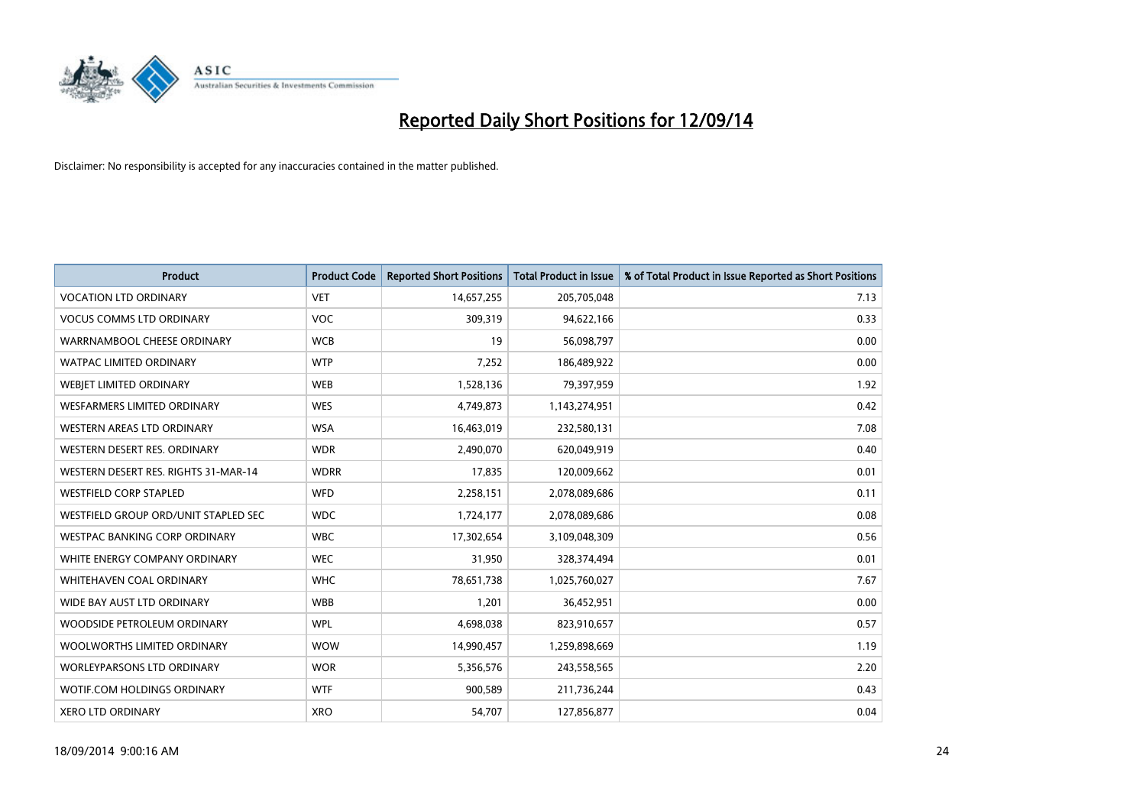

| <b>Product</b>                       | <b>Product Code</b> | <b>Reported Short Positions</b> | <b>Total Product in Issue</b> | % of Total Product in Issue Reported as Short Positions |
|--------------------------------------|---------------------|---------------------------------|-------------------------------|---------------------------------------------------------|
| <b>VOCATION LTD ORDINARY</b>         | <b>VET</b>          | 14,657,255                      | 205,705,048                   | 7.13                                                    |
| <b>VOCUS COMMS LTD ORDINARY</b>      | VOC                 | 309,319                         | 94,622,166                    | 0.33                                                    |
| WARRNAMBOOL CHEESE ORDINARY          | <b>WCB</b>          | 19                              | 56,098,797                    | 0.00                                                    |
| WATPAC LIMITED ORDINARY              | <b>WTP</b>          | 7,252                           | 186,489,922                   | 0.00                                                    |
| WEBJET LIMITED ORDINARY              | <b>WEB</b>          | 1,528,136                       | 79,397,959                    | 1.92                                                    |
| WESFARMERS LIMITED ORDINARY          | <b>WES</b>          | 4,749,873                       | 1,143,274,951                 | 0.42                                                    |
| WESTERN AREAS LTD ORDINARY           | <b>WSA</b>          | 16,463,019                      | 232,580,131                   | 7.08                                                    |
| WESTERN DESERT RES. ORDINARY         | <b>WDR</b>          | 2,490,070                       | 620,049,919                   | 0.40                                                    |
| WESTERN DESERT RES. RIGHTS 31-MAR-14 | <b>WDRR</b>         | 17,835                          | 120,009,662                   | 0.01                                                    |
| <b>WESTFIELD CORP STAPLED</b>        | WFD                 | 2,258,151                       | 2,078,089,686                 | 0.11                                                    |
| WESTFIELD GROUP ORD/UNIT STAPLED SEC | <b>WDC</b>          | 1,724,177                       | 2,078,089,686                 | 0.08                                                    |
| WESTPAC BANKING CORP ORDINARY        | <b>WBC</b>          | 17,302,654                      | 3,109,048,309                 | 0.56                                                    |
| WHITE ENERGY COMPANY ORDINARY        | <b>WEC</b>          | 31,950                          | 328,374,494                   | 0.01                                                    |
| WHITEHAVEN COAL ORDINARY             | <b>WHC</b>          | 78,651,738                      | 1,025,760,027                 | 7.67                                                    |
| WIDE BAY AUST LTD ORDINARY           | <b>WBB</b>          | 1,201                           | 36,452,951                    | 0.00                                                    |
| WOODSIDE PETROLEUM ORDINARY          | <b>WPL</b>          | 4,698,038                       | 823,910,657                   | 0.57                                                    |
| WOOLWORTHS LIMITED ORDINARY          | <b>WOW</b>          | 14,990,457                      | 1,259,898,669                 | 1.19                                                    |
| WORLEYPARSONS LTD ORDINARY           | <b>WOR</b>          | 5,356,576                       | 243,558,565                   | 2.20                                                    |
| WOTIF.COM HOLDINGS ORDINARY          | <b>WTF</b>          | 900,589                         | 211,736,244                   | 0.43                                                    |
| <b>XERO LTD ORDINARY</b>             | <b>XRO</b>          | 54,707                          | 127,856,877                   | 0.04                                                    |